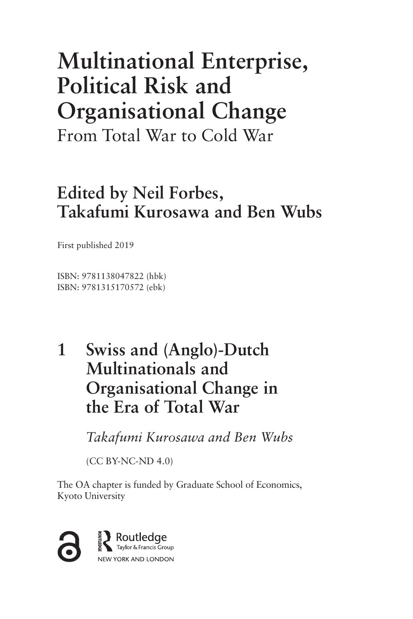# **Multinational Enterprise, Political Risk and Organisational Change**

From Total War to Cold War

# **Edited by Neil Forbes, Takafumi Kurosawa and Ben Wubs**

First published 2019

ISBN: 9781138047822 (hbk) ISBN: 9781315170572 (ebk)

# **Swiss and (Anglo)-Dutch 1 Multinationals and Organisational Change in the Era of Total War**

 *Takafumi Kurosawa and Ben Wubs* 

(CC BY-NC-ND 4.0)

The OA chapter is funded by Graduate School of Economics, Kyoto University

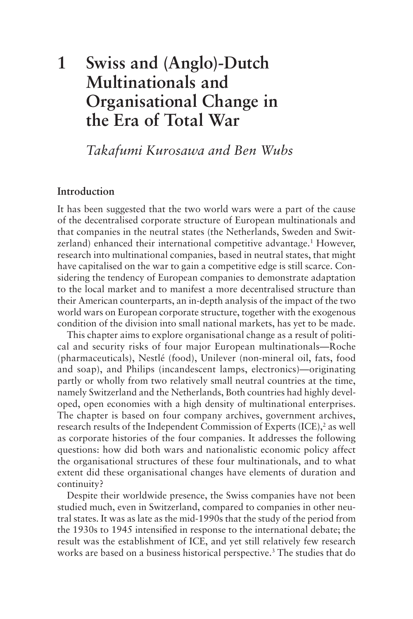# **Swiss and (Anglo)-Dutch Multinationals and Organisational Change in the Era of Total War 1**

*Takafumi Kurosawa and Ben Wubs*

# **Introduction**

It has been suggested that the two world wars were a part of the cause of the decentralised corporate structure of European multinationals and that companies in the neutral states (the Netherlands, Sweden and Switzerland) enhanced their international competitive advantage.<sup>1</sup> However, research into multinational companies, based in neutral states, that might have capitalised on the war to gain a competitive edge is still scarce. Considering the tendency of European companies to demonstrate adaptation to the local market and to manifest a more decentralised structure than their American counterparts, an in-depth analysis of the impact of the two world wars on European corporate structure, together with the exogenous condition of the division into small national markets, has yet to be made.

This chapter aims to explore organisational change as a result of political and security risks of four major European multinationals—Roche (pharmaceuticals), Nestlé (food), Unilever (non-mineral oil, fats, food and soap), and Philips (incandescent lamps, electronics)—originating partly or wholly from two relatively small neutral countries at the time, namely Switzerland and the Netherlands, Both countries had highly developed, open economies with a high density of multinational enterprises. The chapter is based on four company archives, government archives, research results of the Independent Commission of Experts (ICE),<sup>2</sup> as well as corporate histories of the four companies. It addresses the following questions: how did both wars and nationalistic economic policy affect the organisational structures of these four multinationals, and to what extent did these organisational changes have elements of duration and continuity?

Despite their worldwide presence, the Swiss companies have not been studied much, even in Switzerland, compared to companies in other neutral states. It was as late as the mid-1990s that the study of the period from the 1930s to 1945 intensified in response to the international debate; the result was the establishment of ICE, and yet still relatively few research works are based on a business historical perspective.<sup>3</sup> The studies that do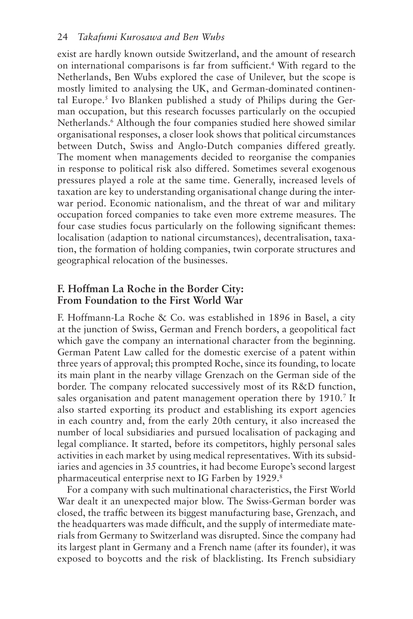exist are hardly known outside Switzerland, and the amount of research on international comparisons is far from sufficient.4 With regard to the Netherlands, Ben Wubs explored the case of Unilever, but the scope is mostly limited to analysing the UK, and German-dominated continental Europe.<sup>5</sup> Ivo Blanken published a study of Philips during the German occupation, but this research focusses particularly on the occupied Netherlands.<sup>6</sup> Although the four companies studied here showed similar organisational responses, a closer look shows that political circumstances between Dutch, Swiss and Anglo-Dutch companies differed greatly. The moment when managements decided to reorganise the companies in response to political risk also differed. Sometimes several exogenous pressures played a role at the same time. Generally, increased levels of taxation are key to understanding organisational change during the interwar period. Economic nationalism, and the threat of war and military occupation forced companies to take even more extreme measures. The four case studies focus particularly on the following significant themes: localisation (adaption to national circumstances), decentralisation, taxation, the formation of holding companies, twin corporate structures and geographical relocation of the businesses.

# **F. Hoffman La Roche in the Border City: From Foundation to the First World War**

F. Hoffmann-La Roche & Co. was established in 1896 in Basel, a city at the junction of Swiss, German and French borders, a geopolitical fact which gave the company an international character from the beginning. German Patent Law called for the domestic exercise of a patent within three years of approval; this prompted Roche, since its founding, to locate its main plant in the nearby village Grenzach on the German side of the border. The company relocated successively most of its R&D function, sales organisation and patent management operation there by 1910.<sup>7</sup> It also started exporting its product and establishing its export agencies in each country and, from the early 20th century, it also increased the number of local subsidiaries and pursued localisation of packaging and legal compliance. It started, before its competitors, highly personal sales activities in each market by using medical representatives. With its subsidiaries and agencies in 35 countries, it had become Europe's second largest pharmaceutical enterprise next to IG Farben by 1929.<sup>8</sup>

For a company with such multinational characteristics, the First World War dealt it an unexpected major blow. The Swiss-German border was closed, the traffic between its biggest manufacturing base, Grenzach, and the headquarters was made difficult, and the supply of intermediate materials from Germany to Switzerland was disrupted. Since the company had its largest plant in Germany and a French name (after its founder), it was exposed to boycotts and the risk of blacklisting. Its French subsidiary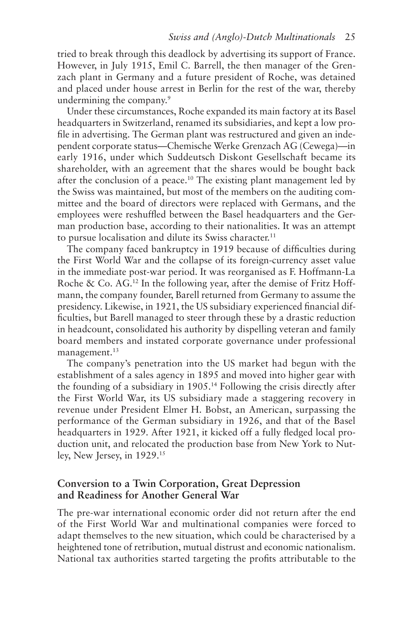tried to break through this deadlock by advertising its support of France. However, in July 1915, Emil C. Barrell, the then manager of the Grenzach plant in Germany and a future president of Roche, was detained and placed under house arrest in Berlin for the rest of the war, thereby undermining the company.<sup>9</sup>

Under these circumstances, Roche expanded its main factory at its Basel headquarters in Switzerland, renamed its subsidiaries, and kept a low profile in advertising. The German plant was restructured and given an independent corporate status—Chemische Werke Grenzach AG (Cewega)—in early 1916, under which Suddeutsch Diskont Gesellschaft became its shareholder, with an agreement that the shares would be bought back after the conclusion of a peace.10 The existing plant management led by the Swiss was maintained, but most of the members on the auditing committee and the board of directors were replaced with Germans, and the employees were reshuffled between the Basel headquarters and the German production base, according to their nationalities. It was an attempt to pursue localisation and dilute its Swiss character.<sup>11</sup>

The company faced bankruptcy in 1919 because of difficulties during the First World War and the collapse of its foreign-currency asset value in the immediate post-war period. It was reorganised as F. Hoffmann-La Roche  $\&$  Co. AG.<sup>12</sup> In the following year, after the demise of Fritz Hoffmann, the company founder, Barell returned from Germany to assume the presidency. Likewise, in 1921, the US subsidiary experienced financial difficulties, but Barell managed to steer through these by a drastic reduction in headcount, consolidated his authority by dispelling veteran and family board members and instated corporate governance under professional management.<sup>13</sup>

The company's penetration into the US market had begun with the establishment of a sales agency in 1895 and moved into higher gear with the founding of a subsidiary in 1905.14 Following the crisis directly after the First World War, its US subsidiary made a staggering recovery in revenue under President Elmer H. Bobst, an American, surpassing the performance of the German subsidiary in 1926, and that of the Basel headquarters in 1929. After 1921, it kicked off a fully fledged local production unit, and relocated the production base from New York to Nutley, New Jersey, in 1929.15

# **Conversion to a Twin Corporation, Great Depression and Readiness for Another General War**

The pre-war international economic order did not return after the end of the First World War and multinational companies were forced to adapt themselves to the new situation, which could be characterised by a heightened tone of retribution, mutual distrust and economic nationalism. National tax authorities started targeting the profits attributable to the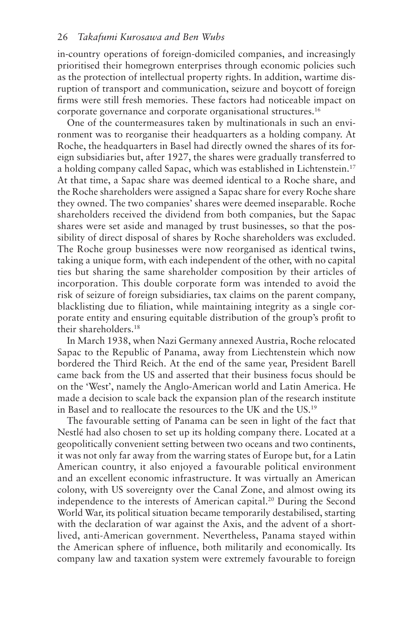#### 26 *Takafumi Kurosawa and Ben Wubs*

in-country operations of foreign-domiciled companies, and increasingly prioritised their homegrown enterprises through economic policies such as the protection of intellectual property rights. In addition, wartime disruption of transport and communication, seizure and boycott of foreign firms were still fresh memories. These factors had noticeable impact on corporate governance and corporate organisational structures.16

One of the countermeasures taken by multinationals in such an environment was to reorganise their headquarters as a holding company. At Roche, the headquarters in Basel had directly owned the shares of its foreign subsidiaries but, after 1927, the shares were gradually transferred to a holding company called Sapac, which was established in Lichtenstein.17 At that time, a Sapac share was deemed identical to a Roche share, and the Roche shareholders were assigned a Sapac share for every Roche share they owned. The two companies' shares were deemed inseparable. Roche shareholders received the dividend from both companies, but the Sapac shares were set aside and managed by trust businesses, so that the possibility of direct disposal of shares by Roche shareholders was excluded. The Roche group businesses were now reorganised as identical twins, taking a unique form, with each independent of the other, with no capital ties but sharing the same shareholder composition by their articles of incorporation. This double corporate form was intended to avoid the risk of seizure of foreign subsidiaries, tax claims on the parent company, blacklisting due to filiation, while maintaining integrity as a single corporate entity and ensuring equitable distribution of the group's profit to their shareholders.18

In March 1938, when Nazi Germany annexed Austria, Roche relocated Sapac to the Republic of Panama, away from Liechtenstein which now bordered the Third Reich. At the end of the same year, President Barell came back from the US and asserted that their business focus should be on the 'West', namely the Anglo-American world and Latin America. He made a decision to scale back the expansion plan of the research institute in Basel and to reallocate the resources to the UK and the US.19

The favourable setting of Panama can be seen in light of the fact that Nestlé had also chosen to set up its holding company there. Located at a geopolitically convenient setting between two oceans and two continents, it was not only far away from the warring states of Europe but, for a Latin American country, it also enjoyed a favourable political environment and an excellent economic infrastructure. It was virtually an American colony, with US sovereignty over the Canal Zone, and almost owing its independence to the interests of American capital.<sup>20</sup> During the Second World War, its political situation became temporarily destabilised, starting with the declaration of war against the Axis, and the advent of a shortlived, anti-American government. Nevertheless, Panama stayed within the American sphere of influence, both militarily and economically. Its company law and taxation system were extremely favourable to foreign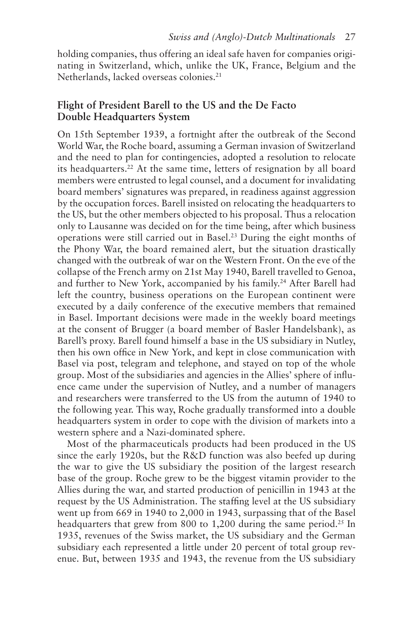holding companies, thus offering an ideal safe haven for companies originating in Switzerland, which, unlike the UK, France, Belgium and the Netherlands, lacked overseas colonies.<sup>21</sup>

# **Flight of President Barell to the US and the De Facto Double Headquarters System**

On 15th September 1939, a fortnight after the outbreak of the Second World War, the Roche board, assuming a German invasion of Switzerland and the need to plan for contingencies, adopted a resolution to relocate its headquarters.22 At the same time, letters of resignation by all board members were entrusted to legal counsel, and a document for invalidating board members' signatures was prepared, in readiness against aggression by the occupation forces. Barell insisted on relocating the headquarters to the US, but the other members objected to his proposal. Thus a relocation only to Lausanne was decided on for the time being, after which business operations were still carried out in Basel.23 During the eight months of the Phony War, the board remained alert, but the situation drastically changed with the outbreak of war on the Western Front. On the eve of the collapse of the French army on 21st May 1940, Barell travelled to Genoa, and further to New York, accompanied by his family.<sup>24</sup> After Barell had left the country, business operations on the European continent were executed by a daily conference of the executive members that remained in Basel. Important decisions were made in the weekly board meetings at the consent of Brugger (a board member of Basler Handelsbank), as Barell's proxy. Barell found himself a base in the US subsidiary in Nutley, then his own office in New York, and kept in close communication with Basel via post, telegram and telephone, and stayed on top of the whole group. Most of the subsidiaries and agencies in the Allies' sphere of influence came under the supervision of Nutley, and a number of managers and researchers were transferred to the US from the autumn of 1940 to the following year. This way, Roche gradually transformed into a double headquarters system in order to cope with the division of markets into a western sphere and a Nazi-dominated sphere.

Most of the pharmaceuticals products had been produced in the US since the early 1920s, but the R&D function was also beefed up during the war to give the US subsidiary the position of the largest research base of the group. Roche grew to be the biggest vitamin provider to the Allies during the war, and started production of penicillin in 1943 at the request by the US Administration. The staffing level at the US subsidiary went up from 669 in 1940 to 2,000 in 1943, surpassing that of the Basel headquarters that grew from 800 to 1,200 during the same period.<sup>25</sup> In 1935, revenues of the Swiss market, the US subsidiary and the German subsidiary each represented a little under 20 percent of total group revenue. But, between 1935 and 1943, the revenue from the US subsidiary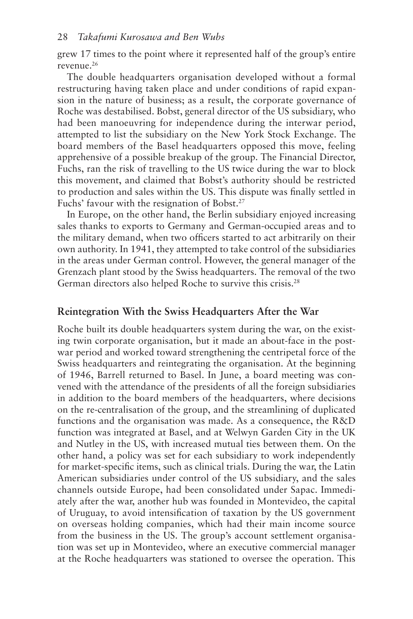grew 17 times to the point where it represented half of the group's entire revenue.26

The double headquarters organisation developed without a formal restructuring having taken place and under conditions of rapid expansion in the nature of business; as a result, the corporate governance of Roche was destabilised. Bobst, general director of the US subsidiary, who had been manoeuvring for independence during the interwar period, attempted to list the subsidiary on the New York Stock Exchange. The board members of the Basel headquarters opposed this move, feeling apprehensive of a possible breakup of the group. The Financial Director, Fuchs, ran the risk of travelling to the US twice during the war to block this movement, and claimed that Bobst's authority should be restricted to production and sales within the US. This dispute was finally settled in Fuchs' favour with the resignation of Bobst.<sup>27</sup>

In Europe, on the other hand, the Berlin subsidiary enjoyed increasing sales thanks to exports to Germany and German-occupied areas and to the military demand, when two officers started to act arbitrarily on their own authority. In 1941, they attempted to take control of the subsidiaries in the areas under German control. However, the general manager of the Grenzach plant stood by the Swiss headquarters. The removal of the two German directors also helped Roche to survive this crisis.28

#### **Reintegration With the Swiss Headquarters After the War**

Roche built its double headquarters system during the war, on the existing twin corporate organisation, but it made an about-face in the postwar period and worked toward strengthening the centripetal force of the Swiss headquarters and reintegrating the organisation. At the beginning of 1946, Barrell returned to Basel. In June, a board meeting was convened with the attendance of the presidents of all the foreign subsidiaries in addition to the board members of the headquarters, where decisions on the re-centralisation of the group, and the streamlining of duplicated functions and the organisation was made. As a consequence, the R&D function was integrated at Basel, and at Welwyn Garden City in the UK and Nutley in the US, with increased mutual ties between them. On the other hand, a policy was set for each subsidiary to work independently for market-specific items, such as clinical trials. During the war, the Latin American subsidiaries under control of the US subsidiary, and the sales channels outside Europe, had been consolidated under Sapac. Immediately after the war, another hub was founded in Montevideo, the capital of Uruguay, to avoid intensification of taxation by the US government on overseas holding companies, which had their main income source from the business in the US. The group's account settlement organisation was set up in Montevideo, where an executive commercial manager at the Roche headquarters was stationed to oversee the operation. This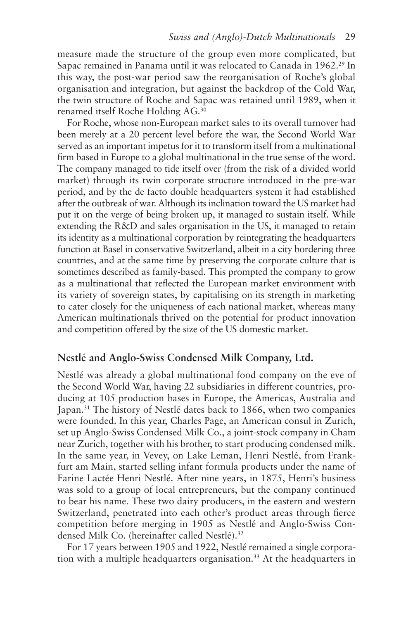measure made the structure of the group even more complicated, but Sapac remained in Panama until it was relocated to Canada in 1962.<sup>29</sup> In this way, the post-war period saw the reorganisation of Roche's global organisation and integration, but against the backdrop of the Cold War, the twin structure of Roche and Sapac was retained until 1989, when it renamed itself Roche Holding AG.30

For Roche, whose non-European market sales to its overall turnover had been merely at a 20 percent level before the war, the Second World War served as an important impetus for it to transform itself from a multinational firm based in Europe to a global multinational in the true sense of the word. The company managed to tide itself over (from the risk of a divided world market) through its twin corporate structure introduced in the pre-war period, and by the de facto double headquarters system it had established after the outbreak of war. Although its inclination toward the US market had put it on the verge of being broken up, it managed to sustain itself. While extending the R&D and sales organisation in the US, it managed to retain its identity as a multinational corporation by reintegrating the headquarters function at Basel in conservative Switzerland, albeit in a city bordering three countries, and at the same time by preserving the corporate culture that is sometimes described as family-based. This prompted the company to grow as a multinational that reflected the European market environment with its variety of sovereign states, by capitalising on its strength in marketing to cater closely for the uniqueness of each national market, whereas many American multinationals thrived on the potential for product innovation and competition offered by the size of the US domestic market.

# **Nestlé and Anglo-Swiss Condensed Milk Company, Ltd.**

Nestlé was already a global multinational food company on the eve of the Second World War, having 22 subsidiaries in different countries, producing at 105 production bases in Europe, the Americas, Australia and Japan.<sup>31</sup> The history of Nestlé dates back to 1866, when two companies were founded. In this year, Charles Page, an American consul in Zurich, set up Anglo-Swiss Condensed Milk Co., a joint-stock company in Cham near Zurich, together with his brother, to start producing condensed milk. In the same year, in Vevey, on Lake Leman, Henri Nestlé, from Frankfurt am Main, started selling infant formula products under the name of Farine Lactée Henri Nestlé. After nine years, in 1875, Henri's business was sold to a group of local entrepreneurs, but the company continued to bear his name. These two dairy producers, in the eastern and western Switzerland, penetrated into each other's product areas through fierce competition before merging in 1905 as Nestlé and Anglo-Swiss Condensed Milk Co. (hereinafter called Nestlé).32

For 17 years between 1905 and 1922, Nestlé remained a single corporation with a multiple headquarters organisation.<sup>33</sup> At the headquarters in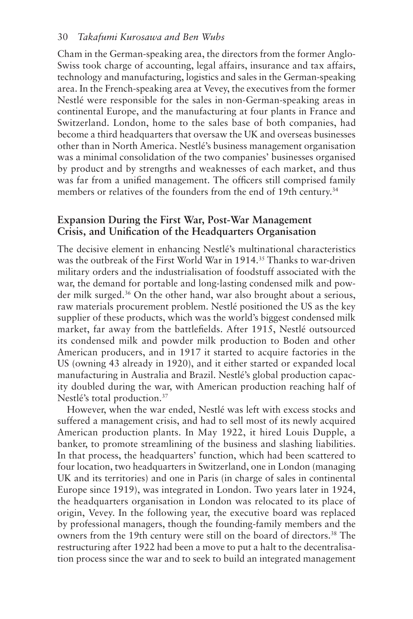Cham in the German-speaking area, the directors from the former Anglo-Swiss took charge of accounting, legal affairs, insurance and tax affairs, technology and manufacturing, logistics and sales in the German-speaking area. In the French-speaking area at Vevey, the executives from the former Nestlé were responsible for the sales in non-German-speaking areas in continental Europe, and the manufacturing at four plants in France and Switzerland. London, home to the sales base of both companies, had become a third headquarters that oversaw the UK and overseas businesses other than in North America. Nestlé's business management organisation was a minimal consolidation of the two companies' businesses organised by product and by strengths and weaknesses of each market, and thus was far from a unified management. The officers still comprised family members or relatives of the founders from the end of 19th century.<sup>34</sup>

# **Expansion During the First War, Post-War Management Crisis, and Unification of the Headquarters Organisation**

The decisive element in enhancing Nestlé's multinational characteristics was the outbreak of the First World War in 1914.35 Thanks to war-driven military orders and the industrialisation of foodstuff associated with the war, the demand for portable and long-lasting condensed milk and powder milk surged.36 On the other hand, war also brought about a serious, raw materials procurement problem. Nestlé positioned the US as the key supplier of these products, which was the world's biggest condensed milk market, far away from the battlefields. After 1915, Nestlé outsourced its condensed milk and powder milk production to Boden and other American producers, and in 1917 it started to acquire factories in the US (owning 43 already in 1920), and it either started or expanded local manufacturing in Australia and Brazil. Nestlé's global production capacity doubled during the war, with American production reaching half of Nestlé's total production.37

However, when the war ended, Nestlé was left with excess stocks and suffered a management crisis, and had to sell most of its newly acquired American production plants. In May 1922, it hired Louis Dupple, a banker, to promote streamlining of the business and slashing liabilities. In that process, the headquarters' function, which had been scattered to four location, two headquarters in Switzerland, one in London (managing UK and its territories) and one in Paris (in charge of sales in continental Europe since 1919), was integrated in London. Two years later in 1924, the headquarters organisation in London was relocated to its place of origin, Vevey. In the following year, the executive board was replaced by professional managers, though the founding-family members and the owners from the 19th century were still on the board of directors.<sup>38</sup> The restructuring after 1922 had been a move to put a halt to the decentralisation process since the war and to seek to build an integrated management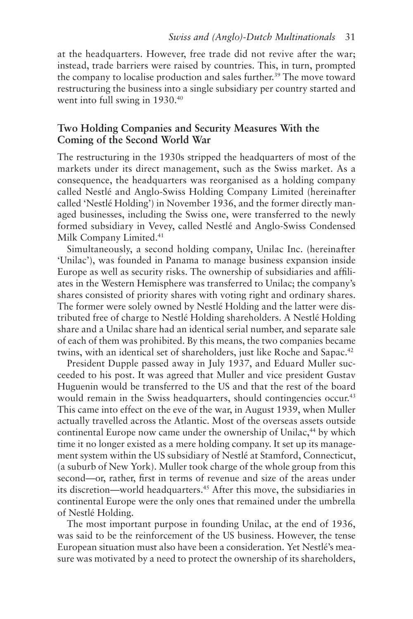at the headquarters. However, free trade did not revive after the war; instead, trade barriers were raised by countries. This, in turn, prompted the company to localise production and sales further.<sup>39</sup> The move toward restructuring the business into a single subsidiary per country started and went into full swing in 1930.<sup>40</sup>

# **Two Holding Companies and Security Measures With the Coming of the Second World War**

The restructuring in the 1930s stripped the headquarters of most of the markets under its direct management, such as the Swiss market. As a consequence, the headquarters was reorganised as a holding company called Nestlé and Anglo-Swiss Holding Company Limited (hereinafter called 'Nestlé Holding') in November 1936, and the former directly managed businesses, including the Swiss one, were transferred to the newly formed subsidiary in Vevey, called Nestlé and Anglo-Swiss Condensed Milk Company Limited.<sup>41</sup>

Simultaneously, a second holding company, Unilac Inc. (hereinafter 'Unilac'), was founded in Panama to manage business expansion inside Europe as well as security risks. The ownership of subsidiaries and affiliates in the Western Hemisphere was transferred to Unilac; the company's shares consisted of priority shares with voting right and ordinary shares. The former were solely owned by Nestlé Holding and the latter were distributed free of charge to Nestlé Holding shareholders. A Nestlé Holding share and a Unilac share had an identical serial number, and separate sale of each of them was prohibited. By this means, the two companies became twins, with an identical set of shareholders, just like Roche and Sapac.<sup>42</sup>

President Dupple passed away in July 1937, and Eduard Muller succeeded to his post. It was agreed that Muller and vice president Gustav Huguenin would be transferred to the US and that the rest of the board would remain in the Swiss headquarters, should contingencies occur.<sup>43</sup> This came into effect on the eve of the war, in August 1939, when Muller actually travelled across the Atlantic. Most of the overseas assets outside continental Europe now came under the ownership of Unilac,<sup>44</sup> by which time it no longer existed as a mere holding company. It set up its management system within the US subsidiary of Nestlé at Stamford, Connecticut, (a suburb of New York). Muller took charge of the whole group from this second—or, rather, first in terms of revenue and size of the areas under its discretion—world headquarters.<sup>45</sup> After this move, the subsidiaries in continental Europe were the only ones that remained under the umbrella of Nestlé Holding.

The most important purpose in founding Unilac, at the end of 1936, was said to be the reinforcement of the US business. However, the tense European situation must also have been a consideration. Yet Nestlé's measure was motivated by a need to protect the ownership of its shareholders,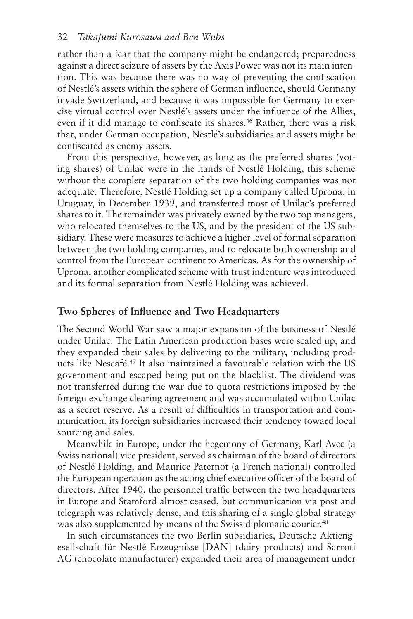rather than a fear that the company might be endangered; preparedness against a direct seizure of assets by the Axis Power was not its main intention. This was because there was no way of preventing the confiscation of Nestlé's assets within the sphere of German influence, should Germany invade Switzerland, and because it was impossible for Germany to exercise virtual control over Nestlé's assets under the influence of the Allies, even if it did manage to confiscate its shares.<sup>46</sup> Rather, there was a risk that, under German occupation, Nestlé's subsidiaries and assets might be confiscated as enemy assets.

From this perspective, however, as long as the preferred shares (voting shares) of Unilac were in the hands of Nestlé Holding, this scheme without the complete separation of the two holding companies was not adequate. Therefore, Nestlé Holding set up a company called Uprona, in Uruguay, in December 1939, and transferred most of Unilac's preferred shares to it. The remainder was privately owned by the two top managers, who relocated themselves to the US, and by the president of the US subsidiary. These were measures to achieve a higher level of formal separation between the two holding companies, and to relocate both ownership and control from the European continent to Americas. As for the ownership of Uprona, another complicated scheme with trust indenture was introduced and its formal separation from Nestlé Holding was achieved.

# **Two Spheres of Influence and Two Headquarters**

The Second World War saw a major expansion of the business of Nestlé under Unilac. The Latin American production bases were scaled up, and they expanded their sales by delivering to the military, including products like Nescafé.47 It also maintained a favourable relation with the US government and escaped being put on the blacklist. The dividend was not transferred during the war due to quota restrictions imposed by the foreign exchange clearing agreement and was accumulated within Unilac as a secret reserve. As a result of difficulties in transportation and communication, its foreign subsidiaries increased their tendency toward local sourcing and sales.

Meanwhile in Europe, under the hegemony of Germany, Karl Avec (a Swiss national) vice president, served as chairman of the board of directors of Nestlé Holding, and Maurice Paternot (a French national) controlled the European operation as the acting chief executive officer of the board of directors. After 1940, the personnel traffic between the two headquarters in Europe and Stamford almost ceased, but communication via post and telegraph was relatively dense, and this sharing of a single global strategy was also supplemented by means of the Swiss diplomatic courier.<sup>48</sup>

In such circumstances the two Berlin subsidiaries, Deutsche Aktiengesellschaft für Nestlé Erzeugnisse [DAN] (dairy products) and Sarroti AG (chocolate manufacturer) expanded their area of management under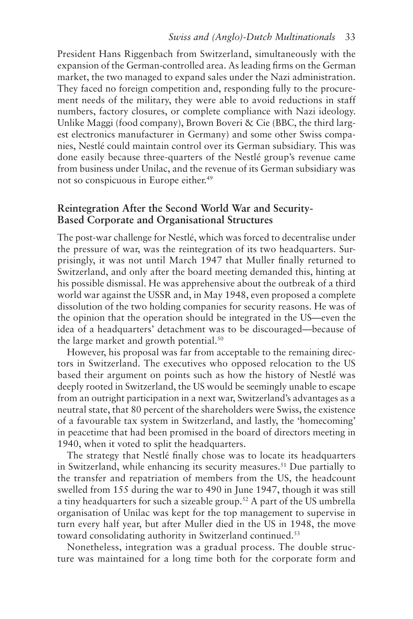#### *Swiss and (Anglo)-Dutch Multinationals* 33

President Hans Riggenbach from Switzerland, simultaneously with the expansion of the German-controlled area. As leading firms on the German market, the two managed to expand sales under the Nazi administration. They faced no foreign competition and, responding fully to the procurement needs of the military, they were able to avoid reductions in staff numbers, factory closures, or complete compliance with Nazi ideology. Unlike Maggi (food company), Brown Boveri & Cie (BBC, the third largest electronics manufacturer in Germany) and some other Swiss companies, Nestlé could maintain control over its German subsidiary. This was done easily because three-quarters of the Nestlé group's revenue came from business under Unilac, and the revenue of its German subsidiary was not so conspicuous in Europe either.<sup>49</sup>

# **Reintegration After the Second World War and Security-Based Corporate and Organisational Structures**

The post-war challenge for Nestlé, which was forced to decentralise under the pressure of war, was the reintegration of its two headquarters. Surprisingly, it was not until March 1947 that Muller finally returned to Switzerland, and only after the board meeting demanded this, hinting at his possible dismissal. He was apprehensive about the outbreak of a third world war against the USSR and, in May 1948, even proposed a complete dissolution of the two holding companies for security reasons. He was of the opinion that the operation should be integrated in the US—even the idea of a headquarters' detachment was to be discouraged—because of the large market and growth potential.<sup>50</sup>

However, his proposal was far from acceptable to the remaining directors in Switzerland. The executives who opposed relocation to the US based their argument on points such as how the history of Nestlé was deeply rooted in Switzerland, the US would be seemingly unable to escape from an outright participation in a next war, Switzerland's advantages as a neutral state, that 80 percent of the shareholders were Swiss, the existence of a favourable tax system in Switzerland, and lastly, the 'homecoming' in peacetime that had been promised in the board of directors meeting in 1940, when it voted to split the headquarters.

The strategy that Nestlé finally chose was to locate its headquarters in Switzerland, while enhancing its security measures.<sup>51</sup> Due partially to the transfer and repatriation of members from the US, the headcount swelled from 155 during the war to 490 in June 1947, though it was still a tiny headquarters for such a sizeable group.52 A part of the US umbrella organisation of Unilac was kept for the top management to supervise in turn every half year, but after Muller died in the US in 1948, the move toward consolidating authority in Switzerland continued.<sup>53</sup>

Nonetheless, integration was a gradual process. The double structure was maintained for a long time both for the corporate form and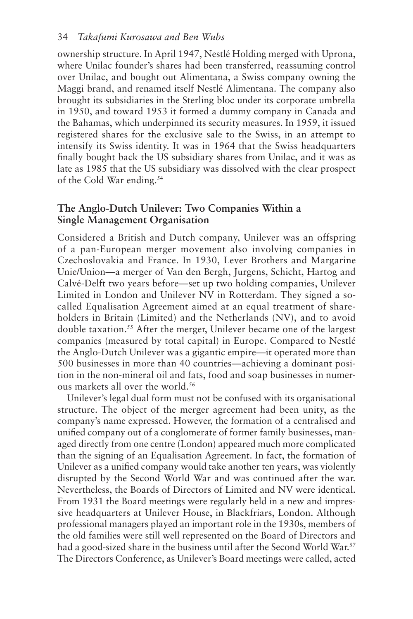#### 34 *Takafumi Kurosawa and Ben Wubs*

ownership structure. In April 1947, Nestlé Holding merged with Uprona, where Unilac founder's shares had been transferred, reassuming control over Unilac, and bought out Alimentana, a Swiss company owning the Maggi brand, and renamed itself Nestlé Alimentana. The company also brought its subsidiaries in the Sterling bloc under its corporate umbrella in 1950, and toward 1953 it formed a dummy company in Canada and the Bahamas, which underpinned its security measures. In 1959, it issued registered shares for the exclusive sale to the Swiss, in an attempt to intensify its Swiss identity. It was in 1964 that the Swiss headquarters finally bought back the US subsidiary shares from Unilac, and it was as late as 1985 that the US subsidiary was dissolved with the clear prospect of the Cold War ending.54

# **The Anglo-Dutch Unilever: Two Companies Within a Single Management Organisation**

Considered a British and Dutch company, Unilever was an offspring of a pan-European merger movement also involving companies in Czechoslovakia and France. In 1930, Lever Brothers and Margarine Unie/Union—a merger of Van den Bergh, Jurgens, Schicht, Hartog and Calvé-Delft two years before—set up two holding companies, Unilever Limited in London and Unilever NV in Rotterdam. They signed a socalled Equalisation Agreement aimed at an equal treatment of shareholders in Britain (Limited) and the Netherlands (NV), and to avoid double taxation.<sup>55</sup> After the merger, Unilever became one of the largest companies (measured by total capital) in Europe. Compared to Nestlé the Anglo-Dutch Unilever was a gigantic empire—it operated more than 500 businesses in more than 40 countries—achieving a dominant position in the non-mineral oil and fats, food and soap businesses in numerous markets all over the world.<sup>56</sup>

Unilever's legal dual form must not be confused with its organisational structure. The object of the merger agreement had been unity, as the company's name expressed. However, the formation of a centralised and unified company out of a conglomerate of former family businesses, managed directly from one centre (London) appeared much more complicated than the signing of an Equalisation Agreement. In fact, the formation of Unilever as a unified company would take another ten years, was violently disrupted by the Second World War and was continued after the war. Nevertheless, the Boards of Directors of Limited and NV were identical. From 1931 the Board meetings were regularly held in a new and impressive headquarters at Unilever House, in Blackfriars, London. Although professional managers played an important role in the 1930s, members of the old families were still well represented on the Board of Directors and had a good-sized share in the business until after the Second World War.<sup>57</sup> The Directors Conference, as Unilever's Board meetings were called, acted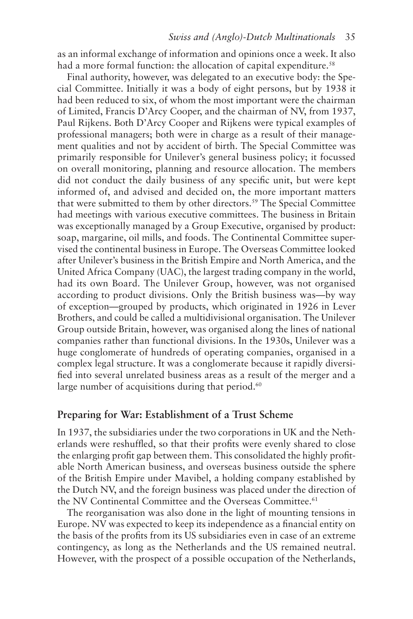as an informal exchange of information and opinions once a week. It also had a more formal function: the allocation of capital expenditure.<sup>58</sup>

Final authority, however, was delegated to an executive body: the Special Committee. Initially it was a body of eight persons, but by 1938 it had been reduced to six, of whom the most important were the chairman of Limited, Francis D'Arcy Cooper, and the chairman of NV, from 1937, Paul Rijkens. Both D'Arcy Cooper and Rijkens were typical examples of professional managers; both were in charge as a result of their management qualities and not by accident of birth. The Special Committee was primarily responsible for Unilever's general business policy; it focussed on overall monitoring, planning and resource allocation. The members did not conduct the daily business of any specific unit, but were kept informed of, and advised and decided on, the more important matters that were submitted to them by other directors.<sup>59</sup> The Special Committee had meetings with various executive committees. The business in Britain was exceptionally managed by a Group Executive, organised by product: soap, margarine, oil mills, and foods. The Continental Committee supervised the continental business in Europe. The Overseas Committee looked after Unilever's business in the British Empire and North America, and the United Africa Company (UAC), the largest trading company in the world, had its own Board. The Unilever Group, however, was not organised according to product divisions. Only the British business was—by way of exception—grouped by products, which originated in 1926 in Lever Brothers, and could be called a multidivisional organisation. The Unilever Group outside Britain, however, was organised along the lines of national companies rather than functional divisions. In the 1930s, Unilever was a huge conglomerate of hundreds of operating companies, organised in a complex legal structure. It was a conglomerate because it rapidly diversified into several unrelated business areas as a result of the merger and a large number of acquisitions during that period. $60$ 

#### **Preparing for War: Establishment of a Trust Scheme**

In 1937, the subsidiaries under the two corporations in UK and the Netherlands were reshuffled, so that their profits were evenly shared to close the enlarging profit gap between them. This consolidated the highly profitable North American business, and overseas business outside the sphere of the British Empire under Mavibel, a holding company established by the Dutch NV, and the foreign business was placed under the direction of the NV Continental Committee and the Overseas Committee.<sup>61</sup>

The reorganisation was also done in the light of mounting tensions in Europe. NV was expected to keep its independence as a financial entity on the basis of the profits from its US subsidiaries even in case of an extreme contingency, as long as the Netherlands and the US remained neutral. However, with the prospect of a possible occupation of the Netherlands,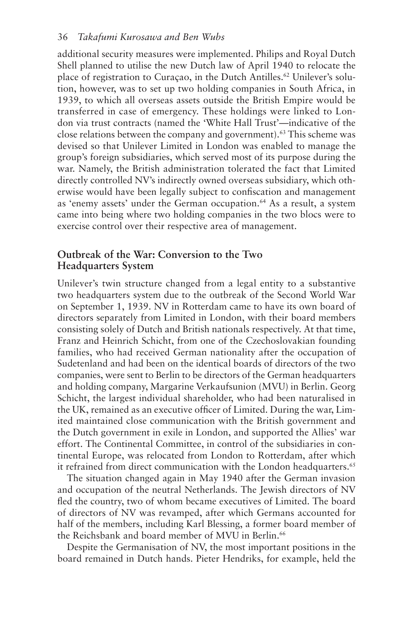additional security measures were implemented. Philips and Royal Dutch Shell planned to utilise the new Dutch law of April 1940 to relocate the place of registration to Curaçao, in the Dutch Antilles.<sup>62</sup> Unilever's solution, however, was to set up two holding companies in South Africa, in 1939, to which all overseas assets outside the British Empire would be transferred in case of emergency. These holdings were linked to London via trust contracts (named the 'White Hall Trust'—indicative of the close relations between the company and government).63 This scheme was devised so that Unilever Limited in London was enabled to manage the group's foreign subsidiaries, which served most of its purpose during the war. Namely, the British administration tolerated the fact that Limited directly controlled NV's indirectly owned overseas subsidiary, which otherwise would have been legally subject to confiscation and management as 'enemy assets' under the German occupation.<sup>64</sup> As a result, a system came into being where two holding companies in the two blocs were to exercise control over their respective area of management.

# **Outbreak of the War: Conversion to the Two Headquarters System**

Unilever's twin structure changed from a legal entity to a substantive two headquarters system due to the outbreak of the Second World War on September 1, 1939. NV in Rotterdam came to have its own board of directors separately from Limited in London, with their board members consisting solely of Dutch and British nationals respectively. At that time, Franz and Heinrich Schicht, from one of the Czechoslovakian founding families, who had received German nationality after the occupation of Sudetenland and had been on the identical boards of directors of the two companies, were sent to Berlin to be directors of the German headquarters and holding company, Margarine Verkaufsunion (MVU) in Berlin. Georg Schicht, the largest individual shareholder, who had been naturalised in the UK, remained as an executive officer of Limited. During the war, Limited maintained close communication with the British government and the Dutch government in exile in London, and supported the Allies' war effort. The Continental Committee, in control of the subsidiaries in continental Europe, was relocated from London to Rotterdam, after which it refrained from direct communication with the London headquarters.<sup>65</sup>

The situation changed again in May 1940 after the German invasion and occupation of the neutral Netherlands. The Jewish directors of NV fled the country, two of whom became executives of Limited. The board of directors of NV was revamped, after which Germans accounted for half of the members, including Karl Blessing, a former board member of the Reichsbank and board member of MVU in Berlin.<sup>66</sup>

Despite the Germanisation of NV, the most important positions in the board remained in Dutch hands. Pieter Hendriks, for example, held the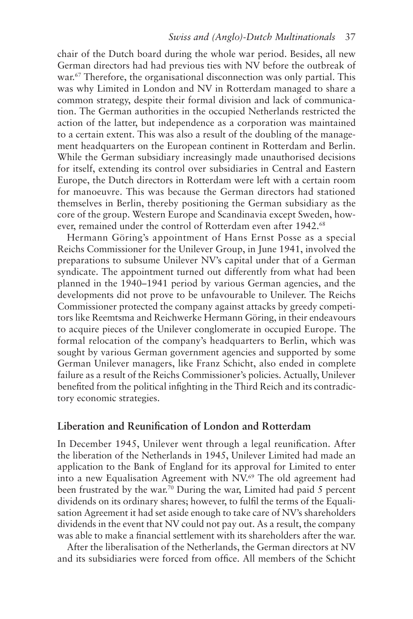chair of the Dutch board during the whole war period. Besides, all new German directors had had previous ties with NV before the outbreak of war.<sup>67</sup> Therefore, the organisational disconnection was only partial. This was why Limited in London and NV in Rotterdam managed to share a common strategy, despite their formal division and lack of communication. The German authorities in the occupied Netherlands restricted the action of the latter, but independence as a corporation was maintained to a certain extent. This was also a result of the doubling of the management headquarters on the European continent in Rotterdam and Berlin. While the German subsidiary increasingly made unauthorised decisions for itself, extending its control over subsidiaries in Central and Eastern Europe, the Dutch directors in Rotterdam were left with a certain room for manoeuvre. This was because the German directors had stationed themselves in Berlin, thereby positioning the German subsidiary as the core of the group. Western Europe and Scandinavia except Sweden, however, remained under the control of Rotterdam even after 1942.68

Hermann Göring's appointment of Hans Ernst Posse as a special Reichs Commissioner for the Unilever Group, in June 1941, involved the preparations to subsume Unilever NV's capital under that of a German syndicate. The appointment turned out differently from what had been planned in the 1940–1941 period by various German agencies, and the developments did not prove to be unfavourable to Unilever. The Reichs Commissioner protected the company against attacks by greedy competitors like Reemtsma and Reichwerke Hermann Göring, in their endeavours to acquire pieces of the Unilever conglomerate in occupied Europe. The formal relocation of the company's headquarters to Berlin, which was sought by various German government agencies and supported by some German Unilever managers, like Franz Schicht, also ended in complete failure as a result of the Reichs Commissioner's policies. Actually, Unilever benefited from the political infighting in the Third Reich and its contradictory economic strategies.

# **Liberation and Reunification of London and Rotterdam**

In December 1945, Unilever went through a legal reunification. After the liberation of the Netherlands in 1945, Unilever Limited had made an application to the Bank of England for its approval for Limited to enter into a new Equalisation Agreement with NV.69 The old agreement had been frustrated by the war.<sup>70</sup> During the war, Limited had paid 5 percent dividends on its ordinary shares; however, to fulfil the terms of the Equalisation Agreement it had set aside enough to take care of NV's shareholders dividends in the event that NV could not pay out. As a result, the company was able to make a financial settlement with its shareholders after the war.

After the liberalisation of the Netherlands, the German directors at NV and its subsidiaries were forced from office. All members of the Schicht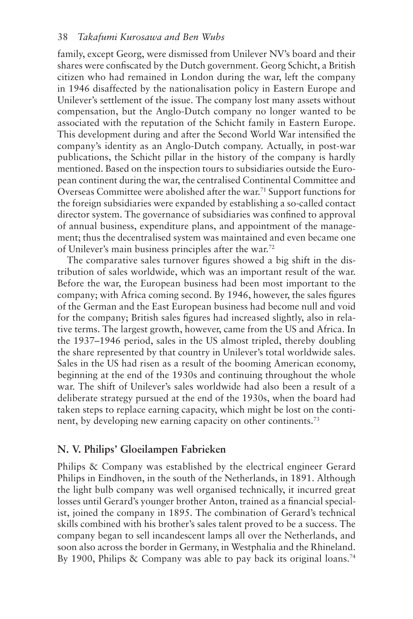family, except Georg, were dismissed from Unilever NV's board and their shares were confiscated by the Dutch government. Georg Schicht, a British citizen who had remained in London during the war, left the company in 1946 disaffected by the nationalisation policy in Eastern Europe and Unilever's settlement of the issue. The company lost many assets without compensation, but the Anglo-Dutch company no longer wanted to be associated with the reputation of the Schicht family in Eastern Europe. This development during and after the Second World War intensified the company's identity as an Anglo-Dutch company. Actually, in post-war publications, the Schicht pillar in the history of the company is hardly mentioned. Based on the inspection tours to subsidiaries outside the European continent during the war, the centralised Continental Committee and Overseas Committee were abolished after the war.<sup>71</sup> Support functions for the foreign subsidiaries were expanded by establishing a so-called contact director system. The governance of subsidiaries was confined to approval of annual business, expenditure plans, and appointment of the management; thus the decentralised system was maintained and even became one of Unilever's main business principles after the war.72

The comparative sales turnover figures showed a big shift in the distribution of sales worldwide, which was an important result of the war. Before the war, the European business had been most important to the company; with Africa coming second. By 1946, however, the sales figures of the German and the East European business had become null and void for the company; British sales figures had increased slightly, also in relative terms. The largest growth, however, came from the US and Africa. In the 1937–1946 period, sales in the US almost tripled, thereby doubling the share represented by that country in Unilever's total worldwide sales. Sales in the US had risen as a result of the booming American economy, beginning at the end of the 1930s and continuing throughout the whole war. The shift of Unilever's sales worldwide had also been a result of a deliberate strategy pursued at the end of the 1930s, when the board had taken steps to replace earning capacity, which might be lost on the continent, by developing new earning capacity on other continents.73

# **N. V. Philips' Gloeilampen Fabrieken**

Philips & Company was established by the electrical engineer Gerard Philips in Eindhoven, in the south of the Netherlands, in 1891. Although the light bulb company was well organised technically, it incurred great losses until Gerard's younger brother Anton, trained as a financial specialist, joined the company in 1895. The combination of Gerard's technical skills combined with his brother's sales talent proved to be a success. The company began to sell incandescent lamps all over the Netherlands, and soon also across the border in Germany, in Westphalia and the Rhineland. By 1900, Philips & Company was able to pay back its original loans.<sup>74</sup>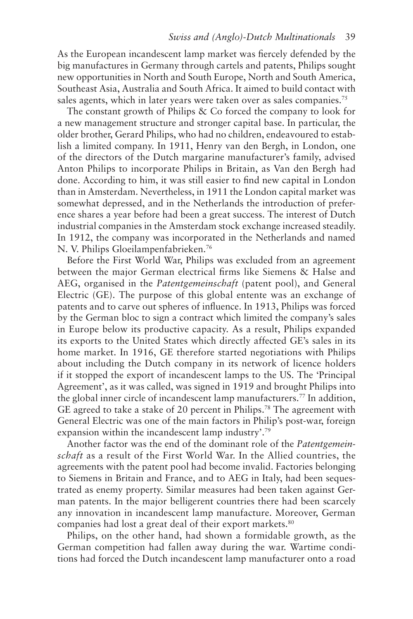As the European incandescent lamp market was fiercely defended by the big manufactures in Germany through cartels and patents, Philips sought new opportunities in North and South Europe, North and South America, Southeast Asia, Australia and South Africa. It aimed to build contact with sales agents, which in later years were taken over as sales companies.<sup>75</sup>

The constant growth of Philips & Co forced the company to look for a new management structure and stronger capital base. In particular, the older brother, Gerard Philips, who had no children, endeavoured to establish a limited company. In 1911, Henry van den Bergh, in London, one of the directors of the Dutch margarine manufacturer's family, advised Anton Philips to incorporate Philips in Britain, as Van den Bergh had done. According to him, it was still easier to find new capital in London than in Amsterdam. Nevertheless, in 1911 the London capital market was somewhat depressed, and in the Netherlands the introduction of preference shares a year before had been a great success. The interest of Dutch industrial companies in the Amsterdam stock exchange increased steadily. In 1912, the company was incorporated in the Netherlands and named N. V. Philips Gloeilampenfabrieken.76

Before the First World War, Philips was excluded from an agreement between the major German electrical firms like Siemens & Halse and AEG, organised in the *Patentgemeinschaft* (patent pool), and General Electric (GE). The purpose of this global entente was an exchange of patents and to carve out spheres of influence. In 1913, Philips was forced by the German bloc to sign a contract which limited the company's sales in Europe below its productive capacity. As a result, Philips expanded its exports to the United States which directly affected GE's sales in its home market. In 1916, GE therefore started negotiations with Philips about including the Dutch company in its network of licence holders if it stopped the export of incandescent lamps to the US. The 'Principal Agreement', as it was called, was signed in 1919 and brought Philips into the global inner circle of incandescent lamp manufacturers.77 In addition, GE agreed to take a stake of 20 percent in Philips.78 The agreement with General Electric was one of the main factors in Philip's post-war, foreign expansion within the incandescent lamp industry'.79

Another factor was the end of the dominant role of the *Patentgemeinschaft* as a result of the First World War. In the Allied countries, the agreements with the patent pool had become invalid. Factories belonging to Siemens in Britain and France, and to AEG in Italy, had been sequestrated as enemy property. Similar measures had been taken against German patents. In the major belligerent countries there had been scarcely any innovation in incandescent lamp manufacture. Moreover, German companies had lost a great deal of their export markets.<sup>80</sup>

Philips, on the other hand, had shown a formidable growth, as the German competition had fallen away during the war. Wartime conditions had forced the Dutch incandescent lamp manufacturer onto a road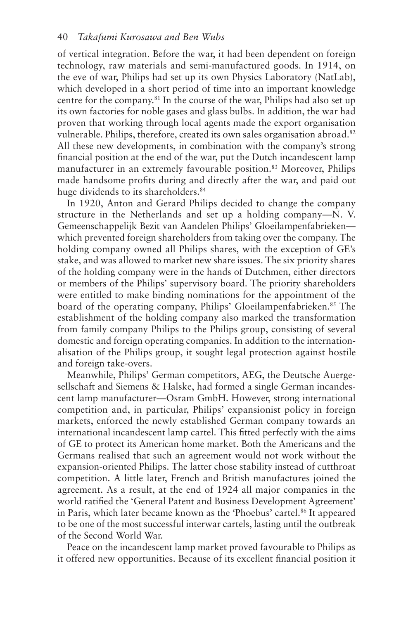of vertical integration. Before the war, it had been dependent on foreign technology, raw materials and semi-manufactured goods. In 1914, on the eve of war, Philips had set up its own Physics Laboratory (NatLab), which developed in a short period of time into an important knowledge centre for the company.81 In the course of the war, Philips had also set up its own factories for noble gases and glass bulbs. In addition, the war had proven that working through local agents made the export organisation vulnerable. Philips, therefore, created its own sales organisation abroad.<sup>82</sup> All these new developments, in combination with the company's strong financial position at the end of the war, put the Dutch incandescent lamp manufacturer in an extremely favourable position.<sup>83</sup> Moreover, Philips made handsome profits during and directly after the war, and paid out huge dividends to its shareholders.<sup>84</sup>

In 1920, Anton and Gerard Philips decided to change the company structure in the Netherlands and set up a holding company—N. V. Gemeenschappelijk Bezit van Aandelen Philips' Gloeilampenfabrieken which prevented foreign shareholders from taking over the company. The holding company owned all Philips shares, with the exception of GE's stake, and was allowed to market new share issues. The six priority shares of the holding company were in the hands of Dutchmen, either directors or members of the Philips' supervisory board. The priority shareholders were entitled to make binding nominations for the appointment of the board of the operating company, Philips' Gloeilampenfabrieken.<sup>85</sup> The establishment of the holding company also marked the transformation from family company Philips to the Philips group, consisting of several domestic and foreign operating companies. In addition to the internationalisation of the Philips group, it sought legal protection against hostile and foreign take-overs.

Meanwhile, Philips' German competitors, AEG, the Deutsche Auergesellschaft and Siemens & Halske, had formed a single German incandescent lamp manufacturer—Osram GmbH. However, strong international competition and, in particular, Philips' expansionist policy in foreign markets, enforced the newly established German company towards an international incandescent lamp cartel. This fitted perfectly with the aims of GE to protect its American home market. Both the Americans and the Germans realised that such an agreement would not work without the expansion-oriented Philips. The latter chose stability instead of cutthroat competition. A little later, French and British manufactures joined the agreement. As a result, at the end of 1924 all major companies in the world ratified the 'General Patent and Business Development Agreement' in Paris, which later became known as the 'Phoebus' cartel.<sup>86</sup> It appeared to be one of the most successful interwar cartels, lasting until the outbreak of the Second World War.

Peace on the incandescent lamp market proved favourable to Philips as it offered new opportunities. Because of its excellent financial position it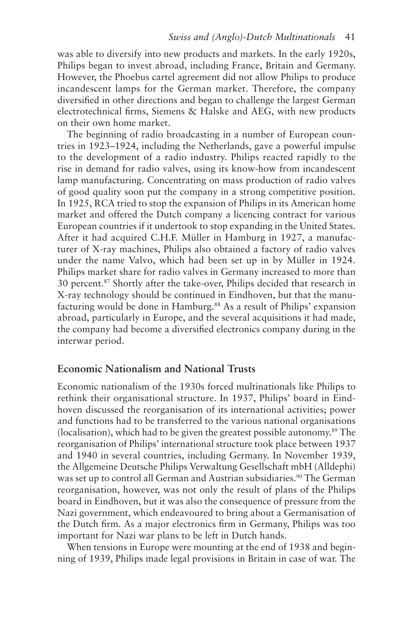was able to diversify into new products and markets. In the early 1920s, Philips began to invest abroad, including France, Britain and Germany. However, the Phoebus cartel agreement did not allow Philips to produce incandescent lamps for the German market. Therefore, the company diversified in other directions and began to challenge the largest German electrotechnical firms, Siemens & Halske and AEG, with new products on their own home market.

The beginning of radio broadcasting in a number of European countries in 1923–1924, including the Netherlands, gave a powerful impulse to the development of a radio industry. Philips reacted rapidly to the rise in demand for radio valves, using its know-how from incandescent lamp manufacturing. Concentrating on mass production of radio valves of good quality soon put the company in a strong competitive position. In 1925, RCA tried to stop the expansion of Philips in its American home market and offered the Dutch company a licencing contract for various European countries if it undertook to stop expanding in the United States. After it had acquired C.H.F. Müller in Hamburg in 1927, a manufacturer of X-ray machines, Philips also obtained a factory of radio valves under the name Valvo, which had been set up in by Müller in 1924. Philips market share for radio valves in Germany increased to more than 30 percent.87 Shortly after the take-over, Philips decided that research in X-ray technology should be continued in Eindhoven, but that the manufacturing would be done in Hamburg.88 As a result of Philips' expansion abroad, particularly in Europe, and the several acquisitions it had made, the company had become a diversified electronics company during in the interwar period.

# **Economic Nationalism and National Trusts**

Economic nationalism of the 1930s forced multinationals like Philips to rethink their organisational structure. In 1937, Philips' board in Eindhoven discussed the reorganisation of its international activities; power and functions had to be transferred to the various national organisations (localisation), which had to be given the greatest possible autonomy.<sup>89</sup> The reorganisation of Philips' international structure took place between 1937 and 1940 in several countries, including Germany. In November 1939, the Allgemeine Deutsche Philips Verwaltung Gesellschaft mbH (Alldephi) was set up to control all German and Austrian subsidiaries.<sup>90</sup> The German reorganisation, however, was not only the result of plans of the Philips board in Eindhoven, but it was also the consequence of pressure from the Nazi government, which endeavoured to bring about a Germanisation of the Dutch firm. As a major electronics firm in Germany, Philips was too important for Nazi war plans to be left in Dutch hands.

When tensions in Europe were mounting at the end of 1938 and beginning of 1939, Philips made legal provisions in Britain in case of war. The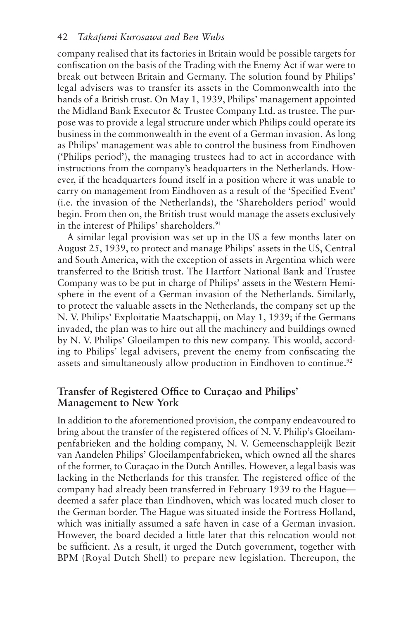company realised that its factories in Britain would be possible targets for confiscation on the basis of the Trading with the Enemy Act if war were to break out between Britain and Germany. The solution found by Philips' legal advisers was to transfer its assets in the Commonwealth into the hands of a British trust. On May 1, 1939, Philips' management appointed the Midland Bank Executor & Trustee Company Ltd. as trustee. The purpose was to provide a legal structure under which Philips could operate its business in the commonwealth in the event of a German invasion. As long as Philips' management was able to control the business from Eindhoven ('Philips period'), the managing trustees had to act in accordance with instructions from the company's headquarters in the Netherlands. However, if the headquarters found itself in a position where it was unable to carry on management from Eindhoven as a result of the 'Specified Event' (i.e. the invasion of the Netherlands), the 'Shareholders period' would begin. From then on, the British trust would manage the assets exclusively in the interest of Philips' shareholders.<sup>91</sup>

A similar legal provision was set up in the US a few months later on August 25, 1939, to protect and manage Philips' assets in the US, Central and South America, with the exception of assets in Argentina which were transferred to the British trust. The Hartfort National Bank and Trustee Company was to be put in charge of Philips' assets in the Western Hemisphere in the event of a German invasion of the Netherlands. Similarly, to protect the valuable assets in the Netherlands, the company set up the N. V. Philips' Exploitatie Maatschappij, on May 1, 1939; if the Germans invaded, the plan was to hire out all the machinery and buildings owned by N. V. Philips' Gloeilampen to this new company. This would, according to Philips' legal advisers, prevent the enemy from confiscating the assets and simultaneously allow production in Eindhoven to continue.<sup>92</sup>

# **Transfer of Registered Office to Curaçao and Philips' Management to New York**

In addition to the aforementioned provision, the company endeavoured to bring about the transfer of the registered offices of N. V. Philip's Gloeilampenfabrieken and the holding company, N. V. Gemeenschappleijk Bezit van Aandelen Philips' Gloeilampenfabrieken, which owned all the shares of the former, to Curaçao in the Dutch Antilles. However, a legal basis was lacking in the Netherlands for this transfer. The registered office of the company had already been transferred in February 1939 to the Hague deemed a safer place than Eindhoven, which was located much closer to the German border. The Hague was situated inside the Fortress Holland, which was initially assumed a safe haven in case of a German invasion. However, the board decided a little later that this relocation would not be sufficient. As a result, it urged the Dutch government, together with BPM (Royal Dutch Shell) to prepare new legislation. Thereupon, the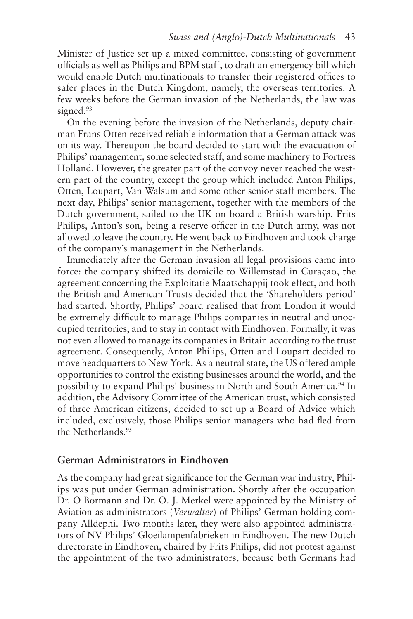Minister of Justice set up a mixed committee, consisting of government officials as well as Philips and BPM staff, to draft an emergency bill which would enable Dutch multinationals to transfer their registered offices to safer places in the Dutch Kingdom, namely, the overseas territories. A few weeks before the German invasion of the Netherlands, the law was signed.<sup>93</sup>

On the evening before the invasion of the Netherlands, deputy chairman Frans Otten received reliable information that a German attack was on its way. Thereupon the board decided to start with the evacuation of Philips' management, some selected staff, and some machinery to Fortress Holland. However, the greater part of the convoy never reached the western part of the country, except the group which included Anton Philips, Otten, Loupart, Van Walsum and some other senior staff members. The next day, Philips' senior management, together with the members of the Dutch government, sailed to the UK on board a British warship. Frits Philips, Anton's son, being a reserve officer in the Dutch army, was not allowed to leave the country. He went back to Eindhoven and took charge of the company's management in the Netherlands.

Immediately after the German invasion all legal provisions came into force: the company shifted its domicile to Willemstad in Curaçao, the agreement concerning the Exploitatie Maatschappij took effect, and both the British and American Trusts decided that the 'Shareholders period' had started. Shortly, Philips' board realised that from London it would be extremely difficult to manage Philips companies in neutral and unoccupied territories, and to stay in contact with Eindhoven. Formally, it was not even allowed to manage its companies in Britain according to the trust agreement. Consequently, Anton Philips, Otten and Loupart decided to move headquarters to New York. As a neutral state, the US offered ample opportunities to control the existing businesses around the world, and the possibility to expand Philips' business in North and South America.<sup>94</sup> In addition, the Advisory Committee of the American trust, which consisted of three American citizens, decided to set up a Board of Advice which included, exclusively, those Philips senior managers who had fled from the Netherlands.95

### **German Administrators in Eindhoven**

As the company had great significance for the German war industry, Philips was put under German administration. Shortly after the occupation Dr. O Bormann and Dr. O. J. Merkel were appointed by the Ministry of Aviation as administrators (*Verwalter*) of Philips' German holding company Alldephi. Two months later, they were also appointed administrators of NV Philips' Gloeilampenfabrieken in Eindhoven. The new Dutch directorate in Eindhoven, chaired by Frits Philips, did not protest against the appointment of the two administrators, because both Germans had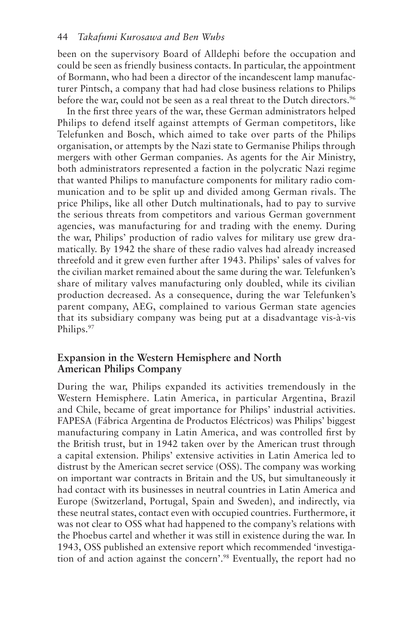been on the supervisory Board of Alldephi before the occupation and could be seen as friendly business contacts. In particular, the appointment of Bormann, who had been a director of the incandescent lamp manufacturer Pintsch, a company that had had close business relations to Philips before the war, could not be seen as a real threat to the Dutch directors.<sup>96</sup>

In the first three years of the war, these German administrators helped Philips to defend itself against attempts of German competitors, like Telefunken and Bosch, which aimed to take over parts of the Philips organisation, or attempts by the Nazi state to Germanise Philips through mergers with other German companies. As agents for the Air Ministry, both administrators represented a faction in the polycratic Nazi regime that wanted Philips to manufacture components for military radio communication and to be split up and divided among German rivals. The price Philips, like all other Dutch multinationals, had to pay to survive the serious threats from competitors and various German government agencies, was manufacturing for and trading with the enemy. During the war, Philips' production of radio valves for military use grew dramatically. By 1942 the share of these radio valves had already increased threefold and it grew even further after 1943. Philips' sales of valves for the civilian market remained about the same during the war. Telefunken's share of military valves manufacturing only doubled, while its civilian production decreased. As a consequence, during the war Telefunken's parent company, AEG, complained to various German state agencies that its subsidiary company was being put at a disadvantage vis-à-vis Philips.<sup>97</sup>

# **Expansion in the Western Hemisphere and North American Philips Company**

During the war, Philips expanded its activities tremendously in the Western Hemisphere. Latin America, in particular Argentina, Brazil and Chile, became of great importance for Philips' industrial activities. FAPESA (Fábrica Argentina de Productos Eléctricos) was Philips' biggest manufacturing company in Latin America, and was controlled first by the British trust, but in 1942 taken over by the American trust through a capital extension. Philips' extensive activities in Latin America led to distrust by the American secret service (OSS). The company was working on important war contracts in Britain and the US, but simultaneously it had contact with its businesses in neutral countries in Latin America and Europe (Switzerland, Portugal, Spain and Sweden), and indirectly, via these neutral states, contact even with occupied countries. Furthermore, it was not clear to OSS what had happened to the company's relations with the Phoebus cartel and whether it was still in existence during the war. In 1943, OSS published an extensive report which recommended 'investigation of and action against the concern'.98 Eventually, the report had no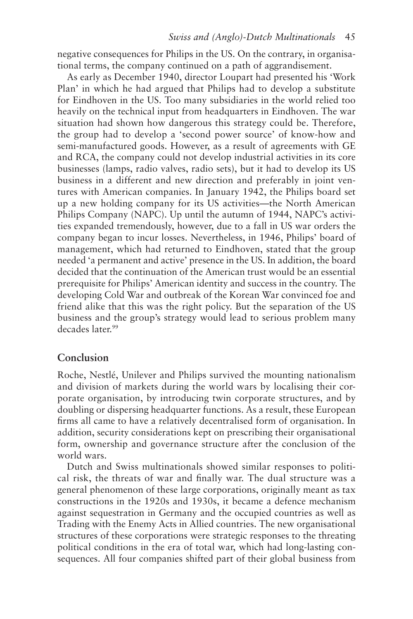negative consequences for Philips in the US. On the contrary, in organisational terms, the company continued on a path of aggrandisement.

As early as December 1940, director Loupart had presented his 'Work Plan' in which he had argued that Philips had to develop a substitute for Eindhoven in the US. Too many subsidiaries in the world relied too heavily on the technical input from headquarters in Eindhoven. The war situation had shown how dangerous this strategy could be. Therefore, the group had to develop a 'second power source' of know-how and semi-manufactured goods. However, as a result of agreements with GE and RCA, the company could not develop industrial activities in its core businesses (lamps, radio valves, radio sets), but it had to develop its US business in a different and new direction and preferably in joint ventures with American companies. In January 1942, the Philips board set up a new holding company for its US activities—the North American Philips Company (NAPC). Up until the autumn of 1944, NAPC's activities expanded tremendously, however, due to a fall in US war orders the company began to incur losses. Nevertheless, in 1946, Philips' board of management, which had returned to Eindhoven, stated that the group needed 'a permanent and active' presence in the US. In addition, the board decided that the continuation of the American trust would be an essential prerequisite for Philips' American identity and success in the country. The developing Cold War and outbreak of the Korean War convinced foe and friend alike that this was the right policy. But the separation of the US business and the group's strategy would lead to serious problem many decades later.<sup>99</sup>

### **Conclusion**

Roche, Nestlé, Unilever and Philips survived the mounting nationalism and division of markets during the world wars by localising their corporate organisation, by introducing twin corporate structures, and by doubling or dispersing headquarter functions. As a result, these European firms all came to have a relatively decentralised form of organisation. In addition, security considerations kept on prescribing their organisational form, ownership and governance structure after the conclusion of the world wars.

Dutch and Swiss multinationals showed similar responses to political risk, the threats of war and finally war. The dual structure was a general phenomenon of these large corporations, originally meant as tax constructions in the 1920s and 1930s, it became a defence mechanism against sequestration in Germany and the occupied countries as well as Trading with the Enemy Acts in Allied countries. The new organisational structures of these corporations were strategic responses to the threating political conditions in the era of total war, which had long-lasting consequences. All four companies shifted part of their global business from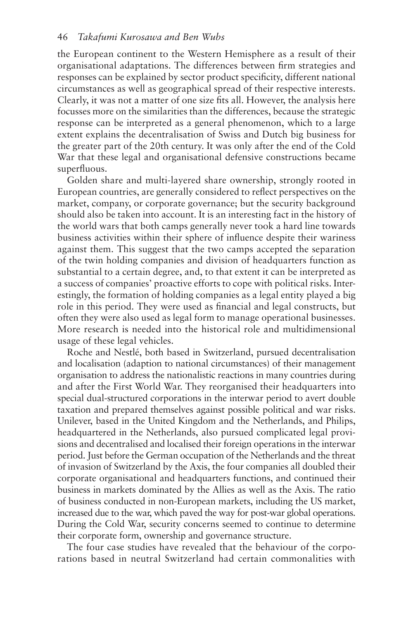the European continent to the Western Hemisphere as a result of their organisational adaptations. The differences between firm strategies and responses can be explained by sector product specificity, different national circumstances as well as geographical spread of their respective interests. Clearly, it was not a matter of one size fits all. However, the analysis here focusses more on the similarities than the differences, because the strategic response can be interpreted as a general phenomenon, which to a large extent explains the decentralisation of Swiss and Dutch big business for the greater part of the 20th century. It was only after the end of the Cold War that these legal and organisational defensive constructions became superfluous.

Golden share and multi-layered share ownership, strongly rooted in European countries, are generally considered to reflect perspectives on the market, company, or corporate governance; but the security background should also be taken into account. It is an interesting fact in the history of the world wars that both camps generally never took a hard line towards business activities within their sphere of influence despite their wariness against them. This suggest that the two camps accepted the separation of the twin holding companies and division of headquarters function as substantial to a certain degree, and, to that extent it can be interpreted as a success of companies' proactive efforts to cope with political risks. Interestingly, the formation of holding companies as a legal entity played a big role in this period. They were used as financial and legal constructs, but often they were also used as legal form to manage operational businesses. More research is needed into the historical role and multidimensional usage of these legal vehicles.

Roche and Nestlé, both based in Switzerland, pursued decentralisation and localisation (adaption to national circumstances) of their management organisation to address the nationalistic reactions in many countries during and after the First World War. They reorganised their headquarters into special dual-structured corporations in the interwar period to avert double taxation and prepared themselves against possible political and war risks. Unilever, based in the United Kingdom and the Netherlands, and Philips, headquartered in the Netherlands, also pursued complicated legal provisions and decentralised and localised their foreign operations in the interwar period. Just before the German occupation of the Netherlands and the threat of invasion of Switzerland by the Axis, the four companies all doubled their corporate organisational and headquarters functions, and continued their business in markets dominated by the Allies as well as the Axis. The ratio of business conducted in non-European markets, including the US market, increased due to the war, which paved the way for post-war global operations. During the Cold War, security concerns seemed to continue to determine their corporate form, ownership and governance structure.

The four case studies have revealed that the behaviour of the corporations based in neutral Switzerland had certain commonalities with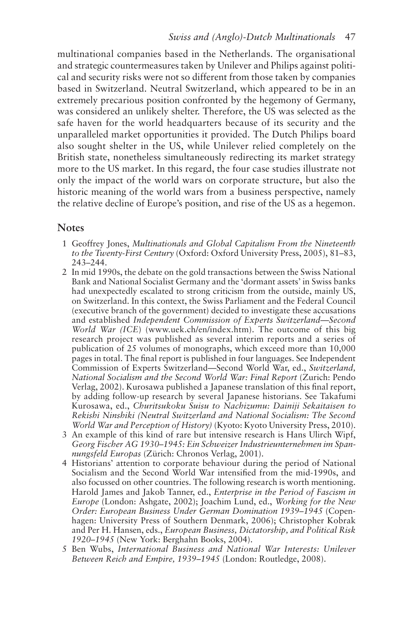#### *Swiss and (Anglo)-Dutch Multinationals* 47

multinational companies based in the Netherlands. The organisational and strategic countermeasures taken by Unilever and Philips against political and security risks were not so different from those taken by companies based in Switzerland. Neutral Switzerland, which appeared to be in an extremely precarious position confronted by the hegemony of Germany, was considered an unlikely shelter. Therefore, the US was selected as the safe haven for the world headquarters because of its security and the unparalleled market opportunities it provided. The Dutch Philips board also sought shelter in the US, while Unilever relied completely on the British state, nonetheless simultaneously redirecting its market strategy more to the US market. In this regard, the four case studies illustrate not only the impact of the world wars on corporate structure, but also the historic meaning of the world wars from a business perspective, namely the relative decline of Europe's position, and rise of the US as a hegemon.

#### **Notes**

- 1 Geoffrey Jones, *Multinationals and Global Capitalism From the Nineteenth to the Twenty-First Century* (Oxford: Oxford University Press, 2005), 81–83, 243–244.
- 2 In mid 1990s, the debate on the gold transactions between the Swiss National Bank and National Socialist Germany and the 'dormant assets' in Swiss banks had unexpectedly escalated to strong criticism from the outside, mainly US, on Switzerland. In this context, the Swiss Parliament and the Federal Council (executive branch of the government) decided to investigate these accusations and established *Independent Commission of Experts Switzerland*—*Second World War (ICE*) (www.uek.ch/en/index.htm). The outcome of this big research project was published as several interim reports and a series of publication of 25 volumes of monographs, which exceed more than 10,000 pages in total. The final report is published in four languages. See Independent Commission of Experts Switzerland—Second World War, ed., *Switzerland, National Socialism and the Second World War: Final Report* (Zurich: Pendo Verlag, 2002). Kurosawa published a Japanese translation of this final report, by adding follow-up research by several Japanese historians. See Takafumi Kurosawa, ed., *Churitsukoku Suisu to Nachizumu: Dainiji Sekaitaisen to Rekishi Ninshiki (Neutral Switzerland and National Socialism: The Second World War and Perception of History)* (Kyoto: Kyoto University Press, 2010).
- 3 An example of this kind of rare but intensive research is Hans Ulirch Wipf, *Georg Fischer AG 1930–1945: Ein Schweizer Industrieunternehmen im Spannungsfeld Europas* (Zürich: Chronos Verlag, 2001).
- 4 Historians' attention to corporate behaviour during the period of National Socialism and the Second World War intensified from the mid-1990s, and also focussed on other countries. The following research is worth mentioning. Harold James and Jakob Tanner, ed., *Enterprise in the Period of Fascism in Europe* (London: Ashgate, 2002); Joachim Lund, ed., *Working for the New Order: European Business Under German Domination 1939–1945* (Copenhagen: University Press of Southern Denmark, 2006); Christopher Kobrak and Per H. Hansen, eds., *European Business, Dictatorship, and Political Risk 1920–1945* (New York: Berghahn Books, 2004).
- 5 Ben Wubs, *International Business and National War Interests: Unilever Between Reich and Empire, 1939–1945* (London: Routledge, 2008).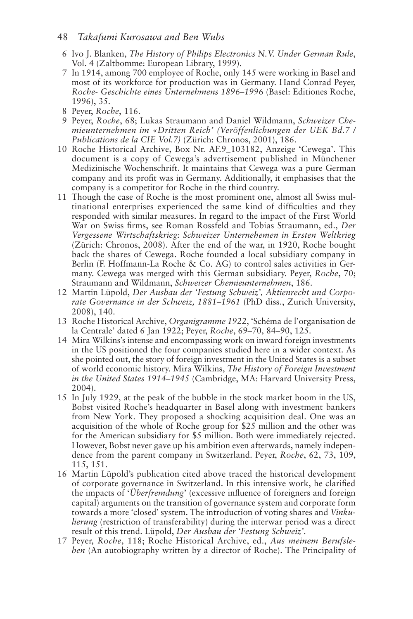#### 48 *Takafumi Kurosawa and Ben Wubs*

- 6 Ivo J. Blanken, *The History of Philips Electronics N.V. Under German Rule*, Vol. 4 (Zaltbomme: European Library, 1999).
- 7 In 1914, among 700 employee of Roche, only 145 were working in Basel and most of its workforce for production was in Germany. Hand Conrad Peyer, *Roche- Geschichte eines Unternehmens 1896–1996* (Basel: Editiones Roche, 1996), 35.
- 8 Peyer, *Roche*, 116.
- 9 Peyer, *Roche*, 68; Lukas Straumann and Daniel Wildmann, *Schweizer Chemieunternehmen im «Dritten Reich' (Veröffenlichungen der UEK Bd.7 / Publications de la CIE Vol.7)* (Zürich: Chronos, 2001), 186.
- 10 Roche Historical Archive, Box Nr. AF.9\_103182, Anzeige 'Cewega'. This document is a copy of Cewega's advertisement published in Münchener Medizinische Wochenschrift. It maintains that Cewega was a pure German company and its profit was in Germany. Additionally, it emphasises that the company is a competitor for Roche in the third country.
- 11 Though the case of Roche is the most prominent one, almost all Swiss multinational enterprises experienced the same kind of difficulties and they responded with similar measures. In regard to the impact of the First World War on Swiss firms, see Roman Rossfeld and Tobias Straumann, ed., *Der Vergessene Wirtschaftskrieg: Schweizer Unternehemen in Ersten Weltkrieg* (Zürich: Chronos, 2008). After the end of the war, in 1920, Roche bought back the shares of Cewega. Roche founded a local subsidiary company in Berlin (F. Hoffmann-La Roche & Co. AG) to control sales activities in Germany. Cewega was merged with this German subsidiary. Peyer, *Roche*, 70; Straumann and Wildmann, *Schweizer Chemieunternehmen*, 186.
- 12 Martin Lüpold, *Der Ausbau der 'Festung Schweiz', Aktienrecht und Corporate Governance in der Schweiz, 1881–1961* (PhD diss., Zurich University, 2008), 140.
- 13 Roche Historical Archive, *Organigramme 1922*, 'Schéma de l'organisation de la Centrale' dated 6 Jan 1922; Peyer, *Roche*, 69–70, 84–90, 125.
- 14 Mira Wilkins's intense and encompassing work on inward foreign investments in the US positioned the four companies studied here in a wider context. As she pointed out, the story of foreign investment in the United States is a subset of world economic history. Mira Wilkins, *The History of Foreign Investment in the United States 1914–1945* (Cambridge, MA: Harvard University Press, 2004).
- 15 In July 1929, at the peak of the bubble in the stock market boom in the US, Bobst visited Roche's headquarter in Basel along with investment bankers from New York. They proposed a shocking acquisition deal. One was an acquisition of the whole of Roche group for \$25 million and the other was for the American subsidiary for \$5 million. Both were immediately rejected. However, Bobst never gave up his ambition even afterwards, namely independence from the parent company in Switzerland. Peyer, *Roche*, 62, 73, 109, 115, 151.
- 16 Martin Lüpold's publication cited above traced the historical development of corporate governance in Switzerland. In this intensive work, he clarified the impacts of '*Überfremdung*' (excessive influence of foreigners and foreign capital) arguments on the transition of governance system and corporate form towards a more 'closed' system. The introduction of voting shares and *Vinkulierung* (restriction of transferability) during the interwar period was a direct result of this trend. Lüpold, *Der Ausbau der 'Festung Schweiz'*.
- 17 Peyer, *Roche*, 118; Roche Historical Archive, ed., *Aus meinem Berufsleben* (An autobiography written by a director of Roche). The Principality of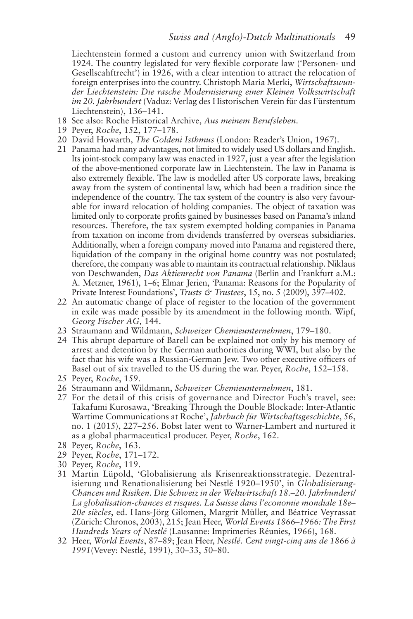Liechtenstein formed a custom and currency union with Switzerland from 1924. The country legislated for very flexible corporate law ('Personen- und Gesellscahftrecht') in 1926, with a clear intention to attract the relocation of foreign enterprises into the country. Christoph Maria Merki, *Wirtschaftswunder Liechtenstein: Die rasche Modernisierung einer Kleinen Volkswirtschaft im 20. Jahrhundert* (Vaduz: Verlag des Historischen Verein für das Fürstentum Liechtenstein), 136–141.

- 18 See also: Roche Historical Archive, *Aus meinem Berufsleben*.
- 19 Peyer, *Roche*, 152, 177–178.
- 20 David Howarth, *The Goldeni Isthmus* (London: Reader's Union, 1967).
- 21 Panama had many advantages, not limited to widely used US dollars and English. Its joint-stock company law was enacted in 1927, just a year after the legislation of the above-mentioned corporate law in Liechtenstein. The law in Panama is also extremely flexible. The law is modelled after US corporate laws, breaking away from the system of continental law, which had been a tradition since the independence of the country. The tax system of the country is also very favourable for inward relocation of holding companies. The object of taxation was limited only to corporate profits gained by businesses based on Panama's inland resources. Therefore, the tax system exempted holding companies in Panama from taxation on income from dividends transferred by overseas subsidiaries. Additionally, when a foreign company moved into Panama and registered there, liquidation of the company in the original home country was not postulated; therefore, the company was able to maintain its contractual relationship. Niklaus von Deschwanden, *Das Aktienrecht von Panama* (Berlin and Frankfurt a.M.: A. Metzner, 1961), 1–6; Elmar Jerien, 'Panama: Reasons for the Popularity of Private Interest Foundations', *Trusts & Trustees*, 15, no. 5 (2009), 397-402.
- 22 An automatic change of place of register to the location of the government in exile was made possible by its amendment in the following month. Wipf, *Georg Fischer AG,* 144.
- 23 Straumann and Wildmann, *Schweizer Chemieunternehmen*, 179–180.
- 24 This abrupt departure of Barell can be explained not only by his memory of arrest and detention by the German authorities during WWI, but also by the fact that his wife was a Russian-German Jew. Two other executive officers of Basel out of six travelled to the US during the war. Peyer, *Roche*, 152–158.
- 25 Peyer, *Roche*, 159.
- 26 Straumann and Wildmann, *Schweizer Chemieunternehmen*, 181.
- 27 For the detail of this crisis of governance and Director Fuch's travel, see: Takafumi Kurosawa, 'Breaking Through the Double Blockade: Inter-Atlantic Wartime Communications at Roche', *Jahrbuch für Wirtschaftsgeschichte*, 56, no. 1 (2015), 227–256. Bobst later went to Warner-Lambert and nurtured it as a global pharmaceutical producer. Peyer, *Roche*, 162.
- 28 Peyer, *Roche*, 163.
- 29 Peyer, *Roche*, 171–172.
- 30 Peyer, *Roche*, 119.
- 31 Martin Lüpold, 'Globalisierung als Krisenreaktionsstrategie. Dezentralisierung und Renationalisierung bei Nestlé 1920–1950', in *Globalisierung-Chancen und Risiken. Die Schweiz in der Weltwirtschaft 18.–20. Jahrhundert/ La globalisation-chances et risques. La Suisse dans l'economie mondiale 18e– 20e siècles*, ed. Hans-Jörg Gilomen, Margrit Müller, and Béatrice Veyrassat (Zürich: Chronos, 2003), 215; Jean Heer, *World Events 1866–1966: The First Hundreds Years of Nestlé* (Lausanne: Imprimeries Réunies, 1966), 168.
- 32 Heer, *World Events*, 87–89; Jean Heer, *Nestlé. Cent vingt-cinq ans de 1866 à 1991*(Vevey: Nestlé, 1991), 30–33, 50–80.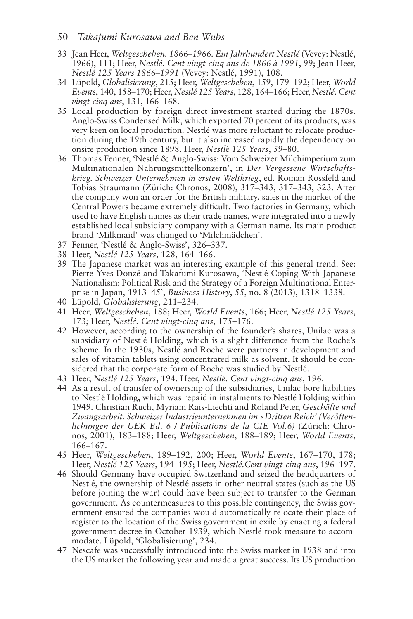#### 50 *Takafumi Kurosawa and Ben Wubs*

- 33 Jean Heer, *Weltgeschehen. 1866–1966. Ein Jahrhundert Nestlé* (Vevey: Nestlé, 1966), 111; Heer, *Nestlé. Cent vingt-cinq ans de 1866 à 1991*, 99; Jean Heer, *Nestlé 125 Years 1866–1991* (Vevey: Nestlé, 1991), 108.
- 34 Lüpold, *Globalisierung*, 215; Heer, *Weltgeschehen*, 159, 179–192; Heer, *World Events*, 140, 158–170; Heer, *Nestlé 125 Years*, 128, 164–166; Heer, *Nestlé. Cent vingt-cinq ans*, 131, 166–168.
- 35 Local production by foreign direct investment started during the 1870s. Anglo-Swiss Condensed Milk, which exported 70 percent of its products, was very keen on local production. Nestlé was more reluctant to relocate production during the 19th century, but it also increased rapidly the dependency on onsite production since 1898. Heer, *Nestl*é *125 Years*, 59–80.
- 36 Thomas Fenner, 'Nestlé & Anglo-Swiss: Vom Schweizer Milchimperium zum Multinationalen Nahrungsmittelkonzern', in *Der Vergessene Wirtschaftskrieg. Schweizer Unternehmen in ersten Weltkrieg*, ed. Roman Rossfeld and Tobias Straumann (Zürich: Chronos, 2008), 317–343, 317–343, 323. After the company won an order for the British military, sales in the market of the Central Powers became extremely difficult. Two factories in Germany, which used to have English names as their trade names, were integrated into a newly established local subsidiary company with a German name. Its main product brand 'Milkmaid' was changed to 'Milchmädchen'.
- 37 Fenner, 'Nestlé & Anglo-Swiss', 326–337.
- 38 Heer, *Nestlé 125 Years*, 128, 164–166.
- 39 The Japanese market was an interesting example of this general trend. See: Pierre-Yves Donzé and Takafumi Kurosawa, 'Nestlé Coping With Japanese Nationalism: Political Risk and the Strategy of a Foreign Multinational Enterprise in Japan, 1913–45', *Business History*, 55, no. 8 (2013), 1318–1338.
- 40 Lüpold, *Globalisierung*, 211–234.
- 41 Heer, *Weltgeschehen*, 188; Heer, *World Events*, 166; Heer, *Nestlé 125 Years*, 173; Heer, *Nestlé. Cent vingt-cinq ans*, 175–176.
- 42 However, according to the ownership of the founder's shares, Unilac was a subsidiary of Nestlé Holding, which is a slight difference from the Roche's scheme. In the 1930s, Nestlé and Roche were partners in development and sales of vitamin tablets using concentrated milk as solvent. It should be considered that the corporate form of Roche was studied by Nestlé.
- 43 Heer, *Nestlé 125 Years*, 194. Heer, *Nestlé. Cent vingt-cinq ans*, 196.
- 44 As a result of transfer of ownership of the subsidiaries, Unilac bore liabilities to Nestlé Holding, which was repaid in instalments to Nestlé Holding within 1949. Christian Ruch, Myriam Rais-Liechti and Roland Peter, *Geschäfte und Zwangsarbeit. Schweizer Industrieunternehmen im «Dritten Reich' (Veröffenlichungen der UEK Bd. 6 / Publications de la CIE Vol.6)* (Zürich: Chronos, 2001), 183–188; Heer, *Weltgeschehen*, 188–189; Heer, *World Events*, 166–167.
- 45 Heer, *Weltgeschehen*, 189–192, 200; Heer, *World Events*, 167–170, 178; Heer, *Nestlé 125 Years*, 194–195; Heer, *Nestlé.Cent vingt-cinq ans*, 196–197.
- 46 Should Germany have occupied Switzerland and seized the headquarters of Nestlé, the ownership of Nestlé assets in other neutral states (such as the US before joining the war) could have been subject to transfer to the German government. As countermeasures to this possible contingency, the Swiss government ensured the companies would automatically relocate their place of register to the location of the Swiss government in exile by enacting a federal government decree in October 1939, which Nestlé took measure to accommodate. Lüpold, 'Globalisierung', 234.
- 47 Nescafe was successfully introduced into the Swiss market in 1938 and into the US market the following year and made a great success. Its US production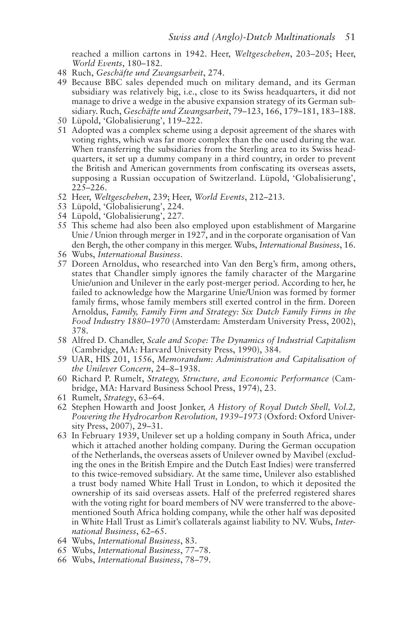reached a million cartons in 1942. Heer, *Weltgeschehen*, 203–205; Heer, *World Events*, 180–182.

- 48 Ruch, *Geschäfte und Zwangsarbeit*, 274.
- 49 Because BBC sales depended much on military demand, and its German subsidiary was relatively big, i.e., close to its Swiss headquarters, it did not manage to drive a wedge in the abusive expansion strategy of its German subsidiary. Ruch, *Geschäfte und Zwangsarbeit*, 79–123, 166, 179–181, 183–188.
- 50 Lüpold, 'Globalisierung', 119–222.
- 51 Adopted was a complex scheme using a deposit agreement of the shares with voting rights, which was far more complex than the one used during the war. When transferring the subsidiaries from the Sterling area to its Swiss headquarters, it set up a dummy company in a third country, in order to prevent the British and American governments from confiscating its overseas assets, supposing a Russian occupation of Switzerland. Lüpold, 'Globalisierung', 225–226.
- 52 Heer, *Weltgeschehen*, 239; Heer, *World Events*, 212–213.
- 53 Lüpold, 'Globalisierung', 224.
- 54 Lüpold, 'Globalisierung', 227.
- 55 This scheme had also been also employed upon establishment of Margarine Unie / Union through merger in 1927, and in the corporate organisation of Van den Bergh, the other company in this merger. Wubs, *International Business*, 16.
- 56 Wubs, *International Business*.
- 57 Doreen Arnoldus, who researched into Van den Berg's firm, among others, states that Chandler simply ignores the family character of the Margarine Unie/union and Unilever in the early post-merger period. According to her, he failed to acknowledge how the Margarine Unie/Union was formed by former family firms, whose family members still exerted control in the firm. Doreen Arnoldus, *Family, Family Firm and Strategy: Six Dutch Family Firms in the Food Industry 1880–1970* (Amsterdam: Amsterdam University Press, 2002), 378.
- 58 Alfred D. Chandler, *Scale and Scope: The Dynamics of Industrial Capitalism* (Cambridge, MA: Harvard University Press, 1990), 384.
- 59 UAR, HIS 201, 1556, *Memorandum: Administration and Capitalisation of the Unilever Concern*, 24–8–1938.
- 60 Richard P. Rumelt, *Strategy, Structure, and Economic Performance* (Cambridge, MA: Harvard Business School Press, 1974), 23.
- 61 Rumelt, *Strategy*, 63–64.
- 62 Stephen Howarth and Joost Jonker, *A History of Royal Dutch Shell, Vol.2, Powering the Hydrocarbon Revolution, 1939–1973* (Oxford: Oxford University Press, 2007), 29–31.
- 63 In February 1939, Unilever set up a holding company in South Africa, under which it attached another holding company. During the German occupation of the Netherlands, the overseas assets of Unilever owned by Mavibel (excluding the ones in the British Empire and the Dutch East Indies) were transferred to this twice-removed subsidiary. At the same time, Unilever also established a trust body named White Hall Trust in London, to which it deposited the ownership of its said overseas assets. Half of the preferred registered shares with the voting right for board members of NV were transferred to the abovementioned South Africa holding company, while the other half was deposited in White Hall Trust as Limit's collaterals against liability to NV. Wubs, *International Business*, 62–65.
- 64 Wubs, *International Business*, 83.
- 65 Wubs, *International Business*, 77–78.
- 66 Wubs, *International Business*, 78–79.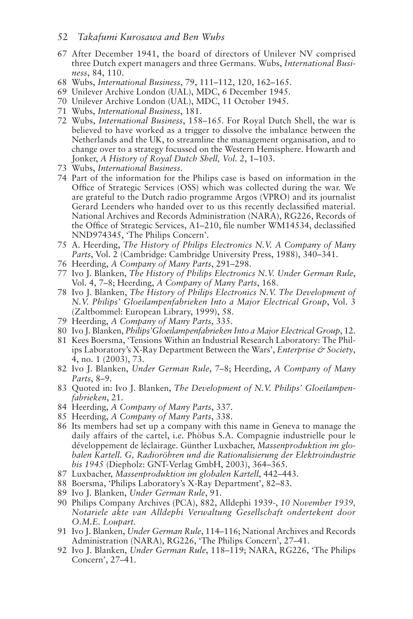#### 52 *Takafumi Kurosawa and Ben Wubs*

- 67 After December 1941, the board of directors of Unilever NV comprised three Dutch expert managers and three Germans. Wubs, *International Business*, 84, 110.
- 68 Wubs, *International Business*, 79, 111–112, 120, 162–165.
- 69 Unilever Archive London (UAL), MDC, 6 December 1945.
- 70 Unilever Archive London (UAL), MDC, 11 October 1945.
- 71 Wubs, *International Business*, 181.
- 72 Wubs, *International Business*, 158–165. For Royal Dutch Shell, the war is believed to have worked as a trigger to dissolve the imbalance between the Netherlands and the UK, to streamline the management organisation, and to change over to a strategy focussed on the Western Hemisphere. Howarth and Jonker, *A History of Royal Dutch Shell, Vol. 2*, 1–103.
- 73 Wubs, *International Business*.
- 74 Part of the information for the Philips case is based on information in the Office of Strategic Services (OSS) which was collected during the war. We are grateful to the Dutch radio programme Argos (VPRO) and its journalist Gerard Leenders who handed over to us this recently declassified material. National Archives and Records Administration (NARA), RG226, Records of the Office of Strategic Services, A1–210, file number WM14534, declassified NND974345, 'The Philips Concern'.
- 75 A. Heerding, *The History of Philips Electronics N.V. A Company of Many Parts*, Vol. 2 (Cambridge: Cambridge University Press, 1988), 340–341.
- 76 Heerding, *A Company of Many Parts*, 291–298.
- 77 Ivo J. Blanken, *The History of Philips Electronics N.V. Under German Rule*, Vol. 4, 7–8; Heerding, *A Company of Many Parts*, 168.
- 78 Ivo J. Blanken, *The History of Philips Electronics N.V. The Development of N.V. Philips' Gloeilampenfabrieken Into a Major Electrical Group*, Vol. 3 (Zaltbommel: European Library, 1999), 58.
- 79 Heerding, *A Company of Many Parts*, 335.
- 80 Ivo J. Blanken, *Philips'Gloeilampenfabrieken Into a Major Electrical Group*, 12.
- 81 Kees Boersma, 'Tensions Within an Industrial Research Laboratory: The Philips Laboratory's X-Ray Department Between the Wars', *Enterprise & Society*, 4, no. 1 (2003), 73.
- 82 Ivo J. Blanken, *Under German Rule*, 7–8; Heerding, *A Company of Many Parts*, 8–9.
- 83 Quoted in: Ivo J. Blanken, *The Development of N.V. Philips' Gloeilampenfabrieken*, 21.
- 84 Heerding, *A Company of Many Parts*, 337.
- 85 Heerding, *A Company of Many Parts*, 338.
- 86 Its members had set up a company with this name in Geneva to manage the daily affairs of the cartel, i.e. Phöbus S.A. Compagnie industrielle pour le développement de léclairage. Günther Luxbacher, *Massenproduktion im globalen Kartell. G, Radioröhren und die Rationalisierung der Elektroindustrie bis 1945* (Diepholz: GNT-Verlag GmbH, 2003), 364–365.
- 87 Luxbacher, *Massenproduktion im globalen Kartell*, 442–443.
- 88 Boersma, 'Philips Laboratory's X-Ray Department', 82–83.
- 89 Ivo J. Blanken, *Under German Rule*, 91.
- 90 Philips Company Archives (PCA), 882, Alldephi 1939-, *10 November 1939, Notariele akte van Alldephi Verwaltung Gesellschaft ondertekent door O.M.E. Loupart*.
- 91 Ivo J. Blanken, *Under German Rule*, 114–116; National Archives and Records Administration (NARA), RG226, 'The Philips Concern', 27–41.
- 92 Ivo J. Blanken, *Under German Rule*, 118–119; NARA, RG226, 'The Philips Concern', 27–41.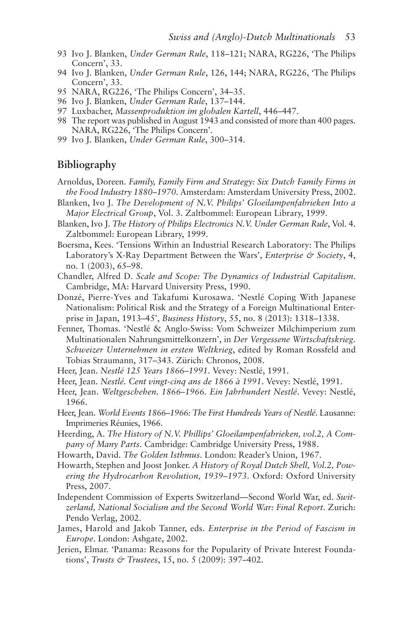- 93 Ivo J. Blanken, *Under German Rule*, 118–121; NARA, RG226, 'The Philips Concern', 33.
- 94 Ivo J. Blanken, *Under German Rule*, 126, 144; NARA, RG226, 'The Philips Concern', 33.
- 95 NARA, RG226, 'The Philips Concern', 34–35.
- 96 Ivo J. Blanken, *Under German Rule*, 137–144.
- 97 Luxbacher, *Massenproduktion im globalen Kartell*, 446–447.
- 98 The report was published in August 1943 and consisted of more than 400 pages. NARA, RG226, 'The Philips Concern'.
- 99 Ivo J. Blanken, *Under German Rule*, 300–314.

#### **Bibliography**

- Arnoldus, Doreen. *Family, Family Firm and Strategy: Six Dutch Family Firms in the Food Industry 1880–1970*. Amsterdam: Amsterdam University Press, 2002.
- Blanken, Ivo J. *The Development of N.V. Philips' Gloeilampenfabrieken Into a Major Electrical Group*, Vol. 3. Zaltbommel: European Library, 1999.
- Blanken, Ivo J. *The History of Philips Electronics N.V. Under German Rule*, Vol. 4. Zaltbommel: European Library, 1999.
- Boersma, Kees. 'Tensions Within an Industrial Research Laboratory: The Philips Laboratory's X-Ray Department Between the Wars', *Enterprise & Society*, 4, no. 1 (2003), 65–98.
- Chandler, Alfred D. *Scale and Scope: The Dynamics of Industrial Capitalism*. Cambridge, MA: Harvard University Press, 1990.
- Donzé, Pierre-Yves and Takafumi Kurosawa. 'Nestlé Coping With Japanese Nationalism: Political Risk and the Strategy of a Foreign Multinational Enterprise in Japan, 1913–45', *Business History*, 55, no. 8 (2013): 1318–1338.
- Fenner, Thomas. 'Nestlé & Anglo-Swiss: Vom Schweizer Milchimperium zum Multinationalen Nahrungsmittelkonzern', in *Der Vergessene Wirtschaftskrieg. Schweizer Unternehmen in ersten Weltkrieg*, edited by Roman Rossfeld and Tobias Straumann, 317–343. Zürich: Chronos, 2008.
- Heer, Jean. *Nestlé 125 Years 1866–1991*. Vevey: Nestlé, 1991.
- Heer, Jean. *Nestlé. Cent vingt-cinq ans de 1866 à 1991*. Vevey: Nestlé, 1991.
- Heer, Jean. *Weltgeschehen. 1866–1966. Ein Jahrhundert Nestlé*. Vevey: Nestlé, 1966.
- Heer, Jean. *World Events 1866–1966: The First Hundreds Years of Nestlé*. Lausanne: Imprimeries Réunies, 1966.
- Heerding, A. *The History of N.V. Phillips' Gloeilampenfabrieken, vol.2, A Company of Many Parts*. Cambridge: Cambridge University Press, 1988.
- Howarth, David. *The Golden Isthmus*. London: Reader's Union, 1967.
- Howarth, Stephen and Joost Jonker. *A History of Royal Dutch Shell, Vol.2, Powering the Hydrocarbon Revolution, 1939–1973*. Oxford: Oxford University Press, 2007.
- Independent Commission of Experts Switzerland—Second World War, ed. *Switzerland, National Socialism and the Second World War: Final Report*. Zurich: Pendo Verlag, 2002.
- James, Harold and Jakob Tanner, eds. *Enterprise in the Period of Fascism in Europe*. London: Ashgate, 2002.
- Jerien, Elmar. 'Panama: Reasons for the Popularity of Private Interest Foundations', *Trusts & Trustees*, 15, no. 5 (2009): 397–402.